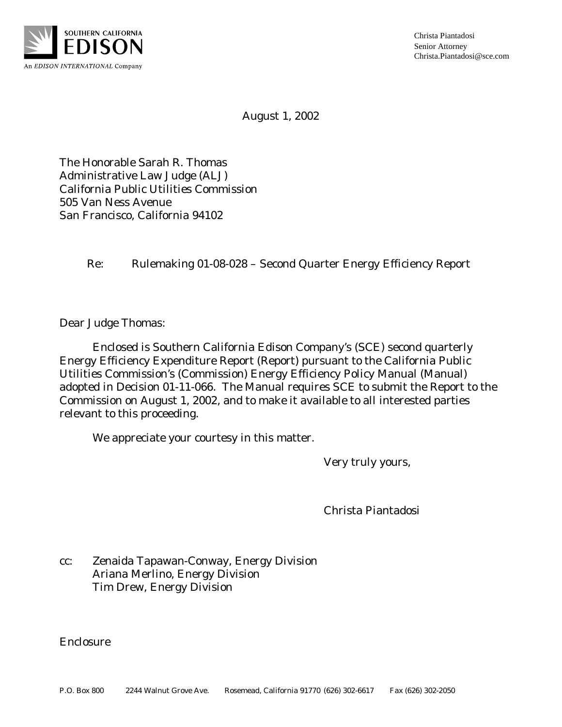

Christa Piantadosi Senior Attorney Christa.Piantadosi@sce.com

August 1, 2002

The Honorable Sarah R. Thomas Administrative Law Judge (ALJ) California Public Utilities Commission 505 Van Ness Avenue San Francisco, California 94102

Re: Rulemaking 01-08-028 – Second Quarter Energy Efficiency Report

Dear Judge Thomas:

Enclosed is Southern California Edison Company's (SCE) second quarterly Energy Efficiency Expenditure Report (Report) pursuant to the California Public Utilities Commission's (Commission) Energy Efficiency Policy Manual (Manual) adopted in Decision 01-11-066. The Manual requires SCE to submit the Report to the Commission on August 1, 2002, and to make it available to all interested parties relevant to this proceeding.

We appreciate your courtesy in this matter.

Very truly yours,

Christa Piantadosi

cc: Zenaida Tapawan-Conway, Energy Division Ariana Merlino, Energy Division Tim Drew, Energy Division

Enclosure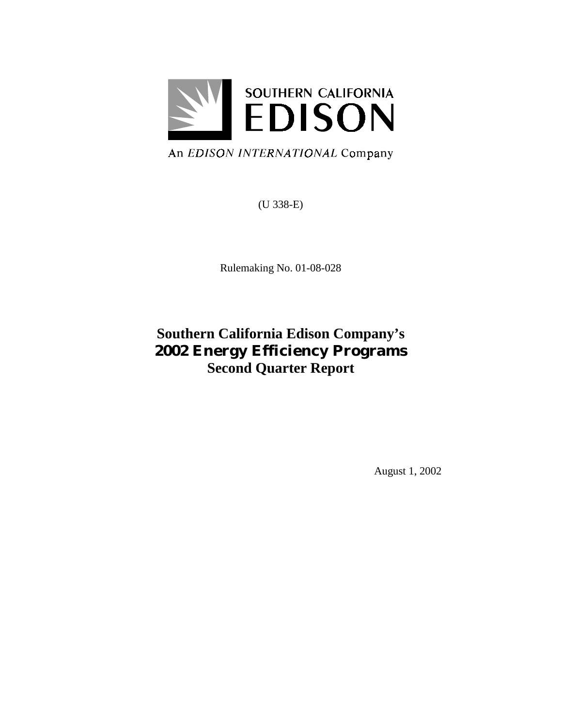

An EDISON INTERNATIONAL Company

(U 338-E)

Rulemaking No. 01-08-028

# **Southern California Edison Company's 2002 Energy Efficiency Programs Second Quarter Report**

August 1, 2002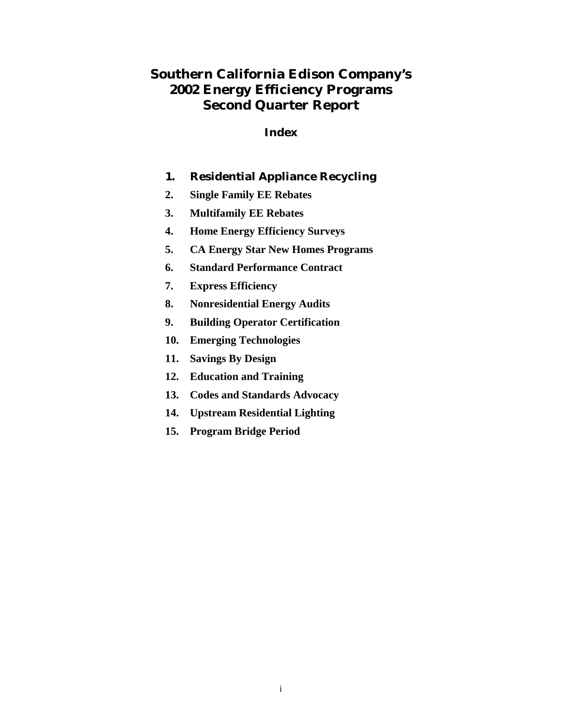# **Southern California Edison Company's 2002 Energy Efficiency Programs Second Quarter Report**

#### **Index**

- **1. Residential Appliance Recycling**
- **2. Single Family EE Rebates**
- **3. Multifamily EE Rebates**
- **4. Home Energy Efficiency Surveys**
- **5. CA Energy Star New Homes Programs**
- **6. Standard Performance Contract**
- **7. Express Efficiency**
- **8. Nonresidential Energy Audits**
- **9. Building Operator Certification**
- **10. Emerging Technologies**
- **11. Savings By Design**
- **12. Education and Training**
- **13. Codes and Standards Advocacy**
- **14. Upstream Residential Lighting**
- **15. Program Bridge Period**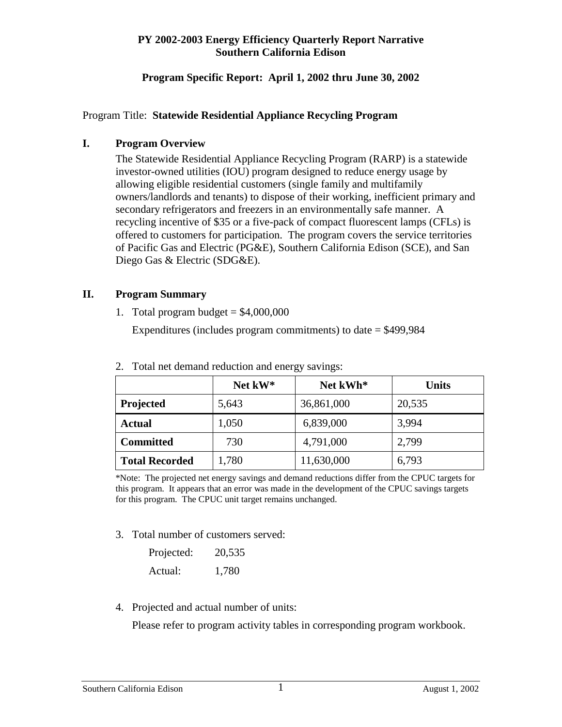#### **Program Specific Report: April 1, 2002 thru June 30, 2002**

#### Program Title: **Statewide Residential Appliance Recycling Program**

#### **I. Program Overview**

The Statewide Residential Appliance Recycling Program (RARP) is a statewide investor-owned utilities (IOU) program designed to reduce energy usage by allowing eligible residential customers (single family and multifamily owners/landlords and tenants) to dispose of their working, inefficient primary and secondary refrigerators and freezers in an environmentally safe manner. A recycling incentive of \$35 or a five-pack of compact fluorescent lamps (CFLs) is offered to customers for participation. The program covers the service territories of Pacific Gas and Electric (PG&E), Southern California Edison (SCE), and San Diego Gas & Electric (SDG&E).

# **II. Program Summary**

1. Total program budget  $= $4,000,000$ 

Expenditures (includes program commitments) to date  $=$  \$499,984

|                       | Net kW* | Net kWh*   | <b>Units</b> |
|-----------------------|---------|------------|--------------|
| Projected             | 5,643   | 36,861,000 | 20,535       |
| Actual                | 1,050   | 6,839,000  | 3,994        |
| <b>Committed</b>      | 730     | 4,791,000  | 2,799        |
| <b>Total Recorded</b> | 1,780   | 11,630,000 | 6,793        |

2. Total net demand reduction and energy savings:

\*Note: The projected net energy savings and demand reductions differ from the CPUC targets for this program. It appears that an error was made in the development of the CPUC savings targets for this program. The CPUC unit target remains unchanged.

3. Total number of customers served:

| Projected: | 20,535 |
|------------|--------|
| Actual:    | 1,780  |

4. Projected and actual number of units:

Please refer to program activity tables in corresponding program workbook.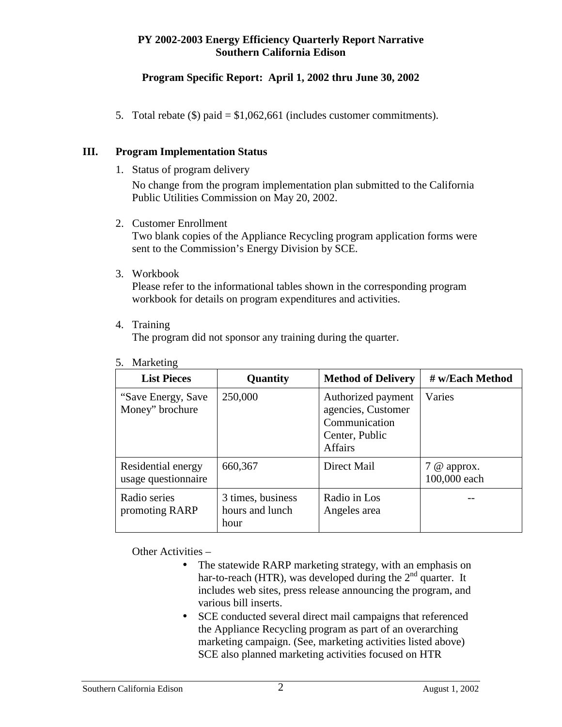# **Program Specific Report: April 1, 2002 thru June 30, 2002**

5. Total rebate (\$) paid = \$1,062,661 (includes customer commitments).

#### **III. Program Implementation Status**

1. Status of program delivery

No change from the program implementation plan submitted to the California Public Utilities Commission on May 20, 2002.

- 2. Customer Enrollment Two blank copies of the Appliance Recycling program application forms were sent to the Commission's Energy Division by SCE.
- 3. Workbook

Please refer to the informational tables shown in the corresponding program workbook for details on program expenditures and activities.

4. Training

The program did not sponsor any training during the quarter.

| <b>List Pieces</b>                        | Quantity                                     | <b>Method of Delivery</b>                                                                     | # w/Each Method               |
|-------------------------------------------|----------------------------------------------|-----------------------------------------------------------------------------------------------|-------------------------------|
| "Save Energy, Save"<br>Money" brochure    | 250,000                                      | Authorized payment<br>agencies, Customer<br>Communication<br>Center, Public<br><b>Affairs</b> | Varies                        |
| Residential energy<br>usage questionnaire | 660,367                                      | Direct Mail                                                                                   | $7$ @ approx.<br>100,000 each |
| Radio series<br>promoting RARP            | 3 times, business<br>hours and lunch<br>hour | Radio in Los<br>Angeles area                                                                  |                               |

5. Marketing

Other Activities –

- The statewide RARP marketing strategy, with an emphasis on har-to-reach (HTR), was developed during the  $2<sup>nd</sup>$  quarter. It includes web sites, press release announcing the program, and various bill inserts.
- SCE conducted several direct mail campaigns that referenced the Appliance Recycling program as part of an overarching marketing campaign. (See, marketing activities listed above) SCE also planned marketing activities focused on HTR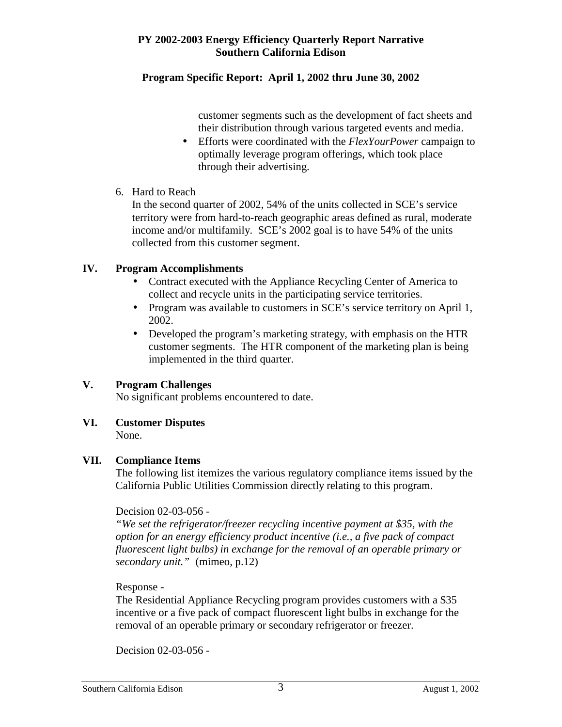#### **Program Specific Report: April 1, 2002 thru June 30, 2002**

customer segments such as the development of fact sheets and their distribution through various targeted events and media.

- Efforts were coordinated with the *FlexYourPower* campaign to optimally leverage program offerings, which took place through their advertising.
- 6. Hard to Reach

In the second quarter of 2002, 54% of the units collected in SCE's service territory were from hard-to-reach geographic areas defined as rural, moderate income and/or multifamily. SCE's 2002 goal is to have 54% of the units collected from this customer segment.

# **IV. Program Accomplishments**

- Contract executed with the Appliance Recycling Center of America to collect and recycle units in the participating service territories.
- Program was available to customers in SCE's service territory on April 1, 2002.
- Developed the program's marketing strategy, with emphasis on the HTR customer segments. The HTR component of the marketing plan is being implemented in the third quarter.

# **V. Program Challenges**

No significant problems encountered to date.

# **VI. Customer Disputes**

None.

# **VII. Compliance Items**

The following list itemizes the various regulatory compliance items issued by the California Public Utilities Commission directly relating to this program.

#### Decision 02-03-056 -

*"We set the refrigerator/freezer recycling incentive payment at \$35, with the option for an energy efficiency product incentive (i.e., a five pack of compact fluorescent light bulbs) in exchange for the removal of an operable primary or secondary unit."* (mimeo, p.12)

Response -

The Residential Appliance Recycling program provides customers with a \$35 incentive or a five pack of compact fluorescent light bulbs in exchange for the removal of an operable primary or secondary refrigerator or freezer.

Decision 02-03-056 -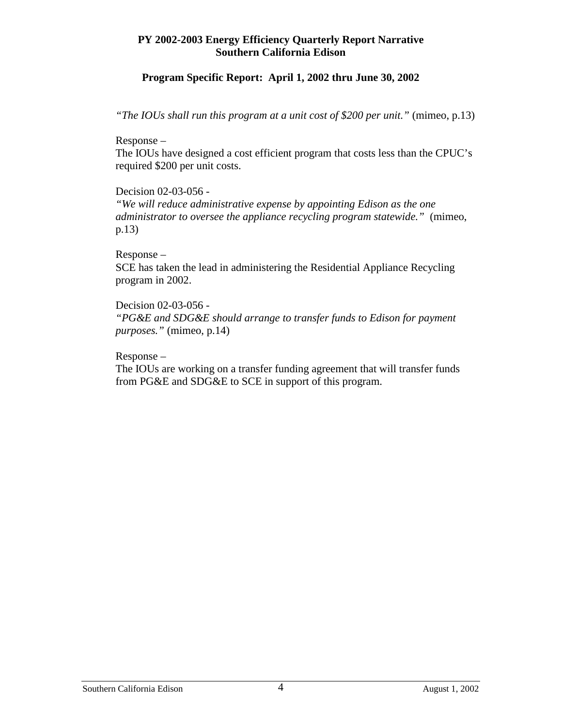#### **Program Specific Report: April 1, 2002 thru June 30, 2002**

*"The IOUs shall run this program at a unit cost of \$200 per unit."* (mimeo, p.13)

Response –

The IOUs have designed a cost efficient program that costs less than the CPUC's required \$200 per unit costs.

Decision 02-03-056 -

*"We will reduce administrative expense by appointing Edison as the one administrator to oversee the appliance recycling program statewide."* (mimeo, p.13)

Response –

SCE has taken the lead in administering the Residential Appliance Recycling program in 2002.

Decision 02-03-056 - *"PG&E and SDG&E should arrange to transfer funds to Edison for payment purposes."* (mimeo, p.14)

Response –

The IOUs are working on a transfer funding agreement that will transfer funds from PG&E and SDG&E to SCE in support of this program.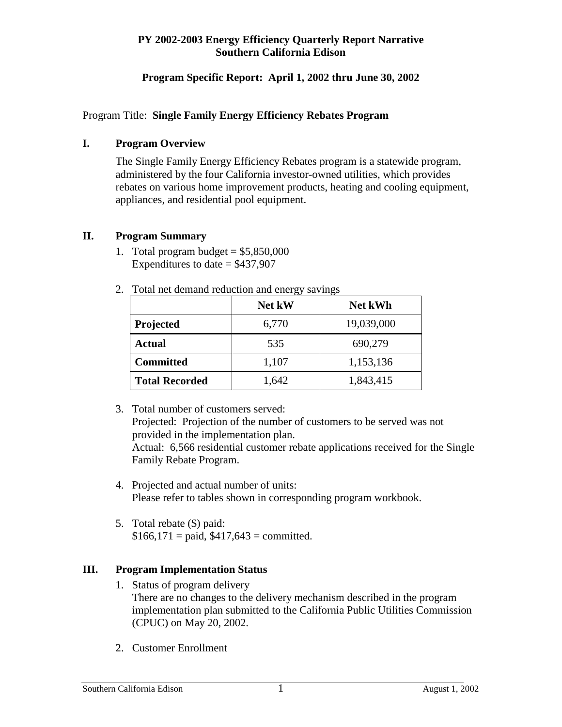# **Program Specific Report: April 1, 2002 thru June 30, 2002**

#### Program Title: **Single Family Energy Efficiency Rebates Program**

#### **I. Program Overview**

The Single Family Energy Efficiency Rebates program is a statewide program, administered by the four California investor-owned utilities, which provides rebates on various home improvement products, heating and cooling equipment, appliances, and residential pool equipment.

#### **II. Program Summary**

1. Total program budget  $= $5,850,000$ Expenditures to date  $=$  \$437,907

| I otal fiet definante reduction and effect by savings |                          |            |  |  |  |
|-------------------------------------------------------|--------------------------|------------|--|--|--|
|                                                       | Net kW<br><b>Net kWh</b> |            |  |  |  |
| Projected                                             | 6,770                    | 19,039,000 |  |  |  |
| <b>Actual</b>                                         | 535                      | 690,279    |  |  |  |
| <b>Committed</b>                                      | 1,107                    | 1,153,136  |  |  |  |
| <b>Total Recorded</b>                                 | 1,642                    | 1,843,415  |  |  |  |

2. Total net demand reduction and energy savings

 3. Total number of customers served: Projected: Projection of the number of customers to be served was not provided in the implementation plan.

Actual: 6,566 residential customer rebate applications received for the Single Family Rebate Program.

- 4. Projected and actual number of units: Please refer to tables shown in corresponding program workbook.
- 5. Total rebate (\$) paid:  $$166,171 = paid, $417,643 = committed.$

# **III. Program Implementation Status**

- 1. Status of program delivery There are no changes to the delivery mechanism described in the program implementation plan submitted to the California Public Utilities Commission (CPUC) on May 20, 2002.
- 2. Customer Enrollment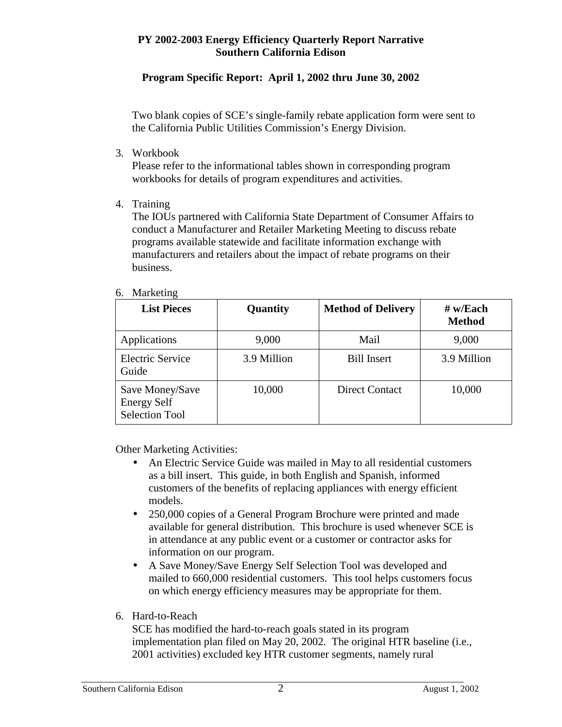# **Program Specific Report: April 1, 2002 thru June 30, 2002**

Two blank copies of SCE's single-family rebate application form were sent to the California Public Utilities Commission's Energy Division.

3. Workbook

Please refer to the informational tables shown in corresponding program workbooks for details of program expenditures and activities.

4. Training

The IOUs partnered with California State Department of Consumer Affairs to conduct a Manufacturer and Retailer Marketing Meeting to discuss rebate programs available statewide and facilitate information exchange with manufacturers and retailers about the impact of rebate programs on their business.

#### 6. Marketing

| <b>List Pieces</b>                                             | Quantity    | <b>Method of Delivery</b> | $#$ w/Each<br><b>Method</b> |
|----------------------------------------------------------------|-------------|---------------------------|-----------------------------|
| Applications                                                   | 9,000       | Mail                      | 9,000                       |
| <b>Electric Service</b><br>Guide                               | 3.9 Million | <b>Bill Insert</b>        | 3.9 Million                 |
| Save Money/Save<br><b>Energy Self</b><br><b>Selection Tool</b> | 10,000      | <b>Direct Contact</b>     | 10,000                      |

Other Marketing Activities:

- An Electric Service Guide was mailed in May to all residential customers as a bill insert. This guide, in both English and Spanish, informed customers of the benefits of replacing appliances with energy efficient models.
- 250,000 copies of a General Program Brochure were printed and made available for general distribution. This brochure is used whenever SCE is in attendance at any public event or a customer or contractor asks for information on our program.
- A Save Money/Save Energy Self Selection Tool was developed and mailed to 660,000 residential customers. This tool helps customers focus on which energy efficiency measures may be appropriate for them.

# 6. Hard-to-Reach

SCE has modified the hard-to-reach goals stated in its program implementation plan filed on May 20, 2002. The original HTR baseline (i.e., 2001 activities) excluded key HTR customer segments, namely rural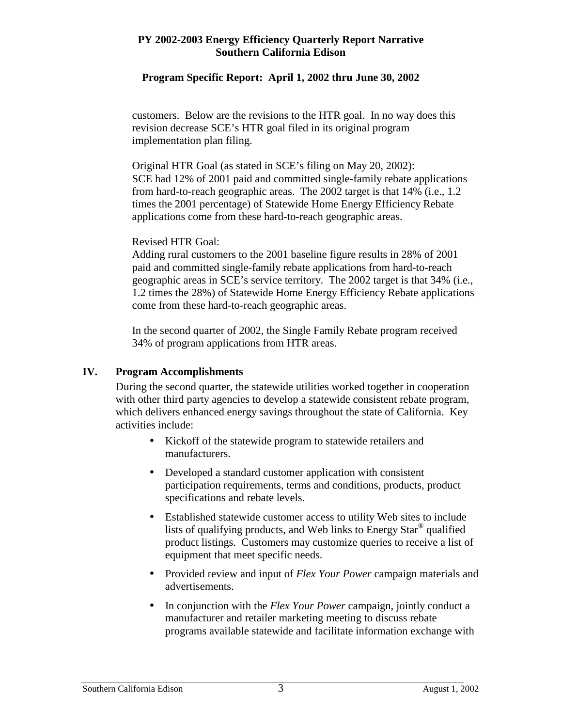# **Program Specific Report: April 1, 2002 thru June 30, 2002**

customers. Below are the revisions to the HTR goal. In no way does this revision decrease SCE's HTR goal filed in its original program implementation plan filing.

Original HTR Goal (as stated in SCE's filing on May 20, 2002): SCE had 12% of 2001 paid and committed single-family rebate applications from hard-to-reach geographic areas. The 2002 target is that 14% (i.e., 1.2 times the 2001 percentage) of Statewide Home Energy Efficiency Rebate applications come from these hard-to-reach geographic areas.

#### Revised HTR Goal:

Adding rural customers to the 2001 baseline figure results in 28% of 2001 paid and committed single-family rebate applications from hard-to-reach geographic areas in SCE's service territory. The 2002 target is that 34% (i.e., 1.2 times the 28%) of Statewide Home Energy Efficiency Rebate applications come from these hard-to-reach geographic areas.

In the second quarter of 2002, the Single Family Rebate program received 34% of program applications from HTR areas.

#### **IV. Program Accomplishments**

During the second quarter, the statewide utilities worked together in cooperation with other third party agencies to develop a statewide consistent rebate program, which delivers enhanced energy savings throughout the state of California. Key activities include:

- Kickoff of the statewide program to statewide retailers and manufacturers.
- Developed a standard customer application with consistent participation requirements, terms and conditions, products, product specifications and rebate levels.
- Established statewide customer access to utility Web sites to include lists of qualifying products, and Web links to Energy Star® qualified product listings. Customers may customize queries to receive a list of equipment that meet specific needs.
- Provided review and input of *Flex Your Power* campaign materials and advertisements.
- In conjunction with the *Flex Your Power* campaign, jointly conduct a manufacturer and retailer marketing meeting to discuss rebate programs available statewide and facilitate information exchange with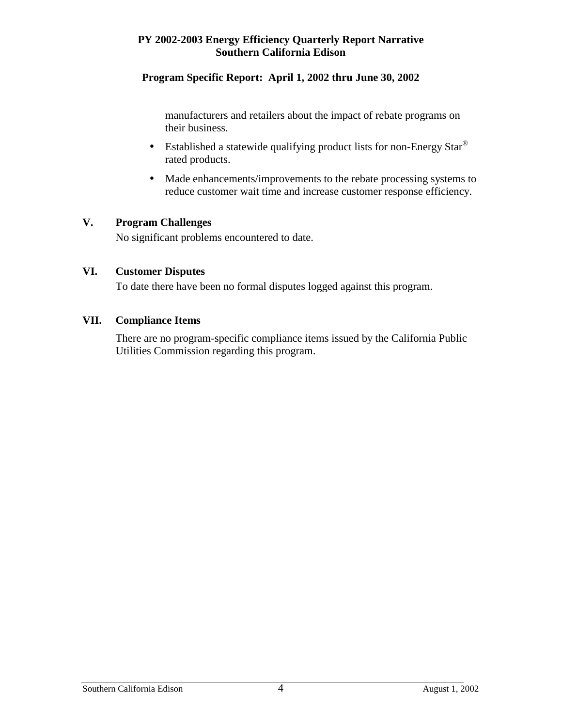#### **Program Specific Report: April 1, 2002 thru June 30, 2002**

manufacturers and retailers about the impact of rebate programs on their business.

- Established a statewide qualifying product lists for non-Energy Star<sup>®</sup> rated products.
- Made enhancements/improvements to the rebate processing systems to reduce customer wait time and increase customer response efficiency.

#### **V. Program Challenges**

No significant problems encountered to date.

#### **VI. Customer Disputes**

To date there have been no formal disputes logged against this program.

#### **VII. Compliance Items**

There are no program-specific compliance items issued by the California Public Utilities Commission regarding this program.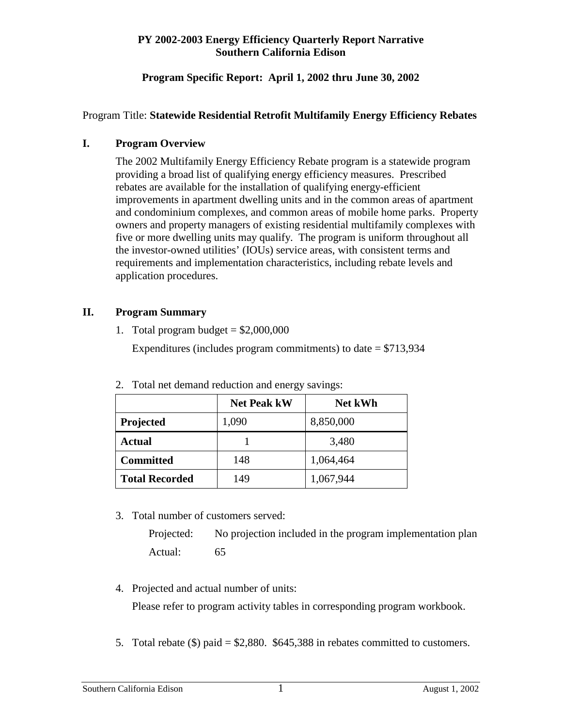# **Program Specific Report: April 1, 2002 thru June 30, 2002**

# Program Title: **Statewide Residential Retrofit Multifamily Energy Efficiency Rebates**

#### **I. Program Overview**

The 2002 Multifamily Energy Efficiency Rebate program is a statewide program providing a broad list of qualifying energy efficiency measures. Prescribed rebates are available for the installation of qualifying energy-efficient improvements in apartment dwelling units and in the common areas of apartment and condominium complexes, and common areas of mobile home parks. Property owners and property managers of existing residential multifamily complexes with five or more dwelling units may qualify. The program is uniform throughout all the investor-owned utilities' (IOUs) service areas, with consistent terms and requirements and implementation characteristics, including rebate levels and application procedures.

#### **II. Program Summary**

1. Total program budget  $= $2,000,000$ 

Expenditures (includes program commitments) to date  $= $713,934$ 

|                       | <b>Net Peak kW</b> | <b>Net kWh</b> |
|-----------------------|--------------------|----------------|
| Projected             | 1,090              | 8,850,000      |
| Actual                |                    | 3,480          |
| <b>Committed</b>      | 148                | 1,064,464      |
| <b>Total Recorded</b> | 149                | 1,067,944      |

2. Total net demand reduction and energy savings:

3. Total number of customers served:

Projected: No projection included in the program implementation plan Actual: 65

- 4. Projected and actual number of units: Please refer to program activity tables in corresponding program workbook.
- 5. Total rebate (\$) paid = \$2,880. \$645,388 in rebates committed to customers.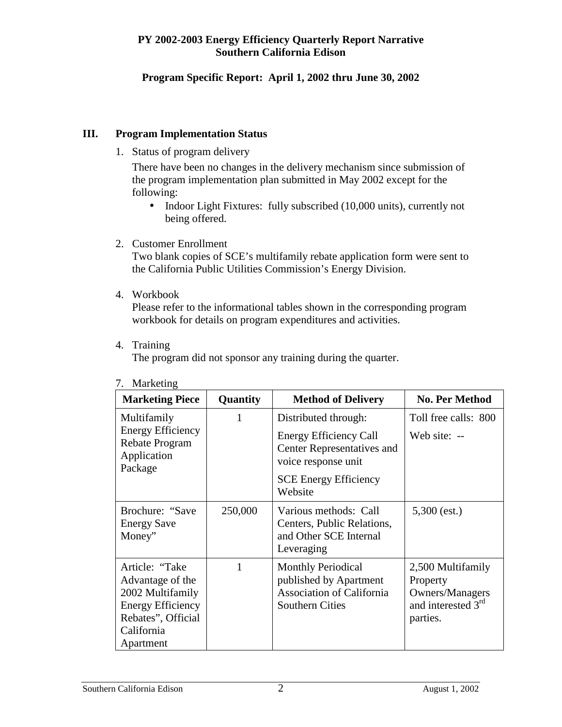# **Program Specific Report: April 1, 2002 thru June 30, 2002**

#### **III. Program Implementation Status**

1. Status of program delivery

There have been no changes in the delivery mechanism since submission of the program implementation plan submitted in May 2002 except for the following:

- Indoor Light Fixtures: fully subscribed (10,000 units), currently not being offered.
- 2. Customer Enrollment

Two blank copies of SCE's multifamily rebate application form were sent to the California Public Utilities Commission's Energy Division.

4. Workbook

Please refer to the informational tables shown in the corresponding program workbook for details on program expenditures and activities.

4. Training

The program did not sponsor any training during the quarter.

| <b>Marketing Piece</b>                                                                                                              | Quantity | <b>Method of Delivery</b>                                                                                         | <b>No. Per Method</b>                                                                          |
|-------------------------------------------------------------------------------------------------------------------------------------|----------|-------------------------------------------------------------------------------------------------------------------|------------------------------------------------------------------------------------------------|
| Multifamily                                                                                                                         | 1        | Distributed through:                                                                                              | Toll free calls: 800                                                                           |
| <b>Energy Efficiency</b><br>Rebate Program<br>Application<br>Package                                                                |          | <b>Energy Efficiency Call</b><br>Center Representatives and<br>voice response unit                                | Web site: --                                                                                   |
|                                                                                                                                     |          | <b>SCE Energy Efficiency</b><br>Website                                                                           |                                                                                                |
| Brochure: "Save<br><b>Energy Save</b><br>Money"                                                                                     | 250,000  | Various methods: Call<br>Centers, Public Relations,<br>and Other SCE Internal<br>Leveraging                       | $5,300$ (est.)                                                                                 |
| Article: "Take<br>Advantage of the<br>2002 Multifamily<br><b>Energy Efficiency</b><br>Rebates", Official<br>California<br>Apartment |          | <b>Monthly Periodical</b><br>published by Apartment<br><b>Association of California</b><br><b>Southern Cities</b> | 2,500 Multifamily<br>Property<br>Owners/Managers<br>and interested 3 <sup>rd</sup><br>parties. |

7. Marketing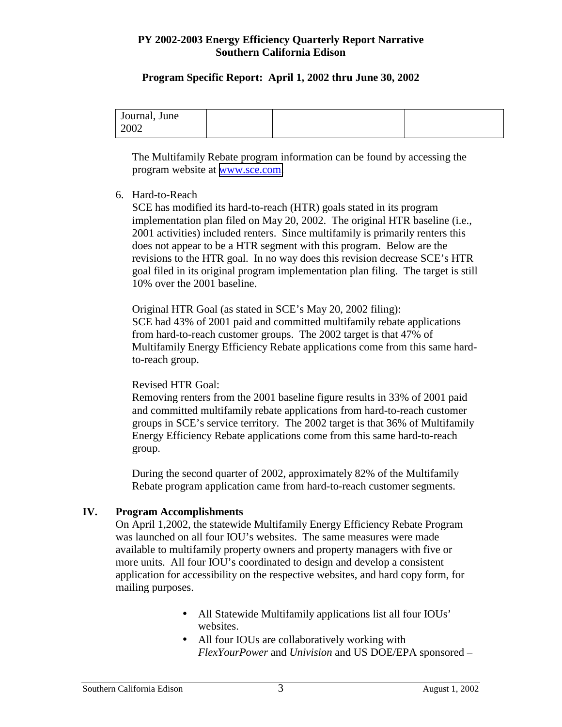#### **Program Specific Report: April 1, 2002 thru June 30, 2002**

| Journal, June |  |  |
|---------------|--|--|
| 2002          |  |  |

The Multifamily Rebate program information can be found by accessing the program website at [www.sce.com.](http://www.sce.com/)

# 6. Hard-to-Reach

SCE has modified its hard-to-reach (HTR) goals stated in its program implementation plan filed on May 20, 2002. The original HTR baseline (i.e., 2001 activities) included renters. Since multifamily is primarily renters this does not appear to be a HTR segment with this program. Below are the revisions to the HTR goal. In no way does this revision decrease SCE's HTR goal filed in its original program implementation plan filing. The target is still 10% over the 2001 baseline.

Original HTR Goal (as stated in SCE's May 20, 2002 filing): SCE had 43% of 2001 paid and committed multifamily rebate applications from hard-to-reach customer groups. The 2002 target is that 47% of Multifamily Energy Efficiency Rebate applications come from this same hardto-reach group.

#### Revised HTR Goal:

Removing renters from the 2001 baseline figure results in 33% of 2001 paid and committed multifamily rebate applications from hard-to-reach customer groups in SCE's service territory. The 2002 target is that 36% of Multifamily Energy Efficiency Rebate applications come from this same hard-to-reach group.

During the second quarter of 2002, approximately 82% of the Multifamily Rebate program application came from hard-to-reach customer segments.

#### **IV. Program Accomplishments**

On April 1,2002, the statewide Multifamily Energy Efficiency Rebate Program was launched on all four IOU's websites. The same measures were made available to multifamily property owners and property managers with five or more units. All four IOU's coordinated to design and develop a consistent application for accessibility on the respective websites, and hard copy form, for mailing purposes.

- All Statewide Multifamily applications list all four IOUs' websites.
- All four IOUs are collaboratively working with *FlexYourPower* and *Univision* and US DOE/EPA sponsored –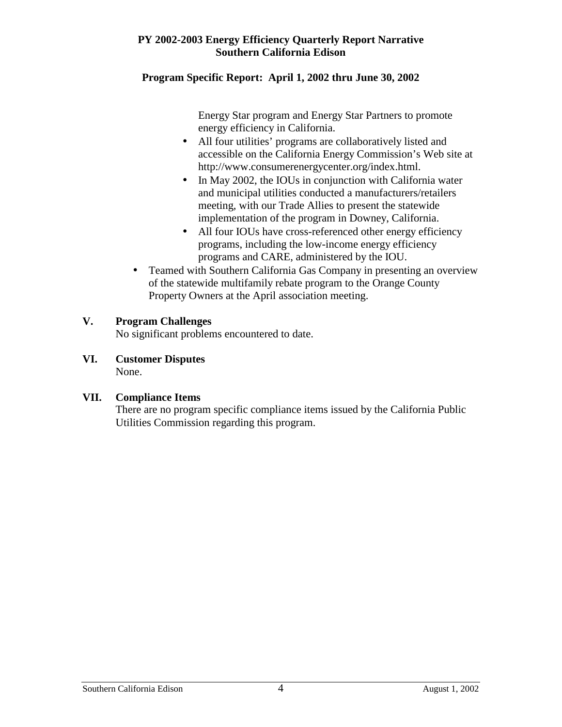# **Program Specific Report: April 1, 2002 thru June 30, 2002**

Energy Star program and Energy Star Partners to promote energy efficiency in California.

- All four utilities' programs are collaboratively listed and accessible on the California Energy Commission's Web site at http://www.consumerenergycenter.org/index.html.
- In May 2002, the IOUs in conjunction with California water and municipal utilities conducted a manufacturers/retailers meeting, with our Trade Allies to present the statewide implementation of the program in Downey, California.
- All four IOUs have cross-referenced other energy efficiency programs, including the low-income energy efficiency programs and CARE, administered by the IOU.
- Teamed with Southern California Gas Company in presenting an overview of the statewide multifamily rebate program to the Orange County Property Owners at the April association meeting.

# **V. Program Challenges**

No significant problems encountered to date.

**VI. Customer Disputes**  None.

#### **VII. Compliance Items**

There are no program specific compliance items issued by the California Public Utilities Commission regarding this program.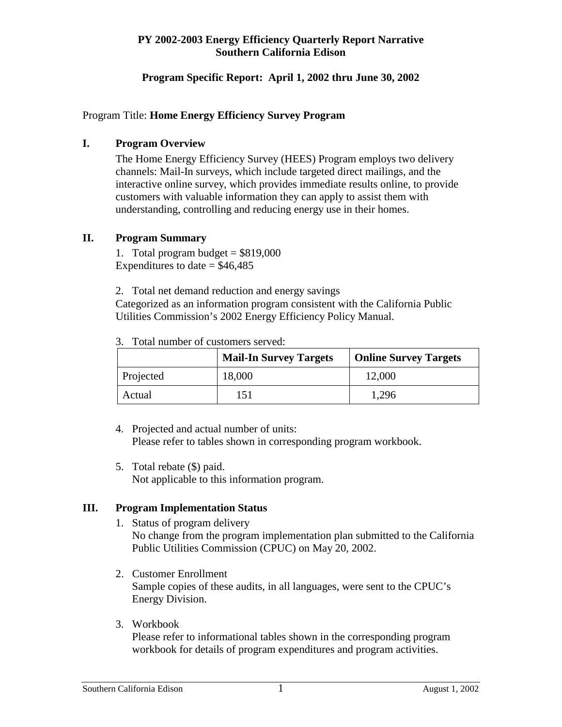#### **Program Specific Report: April 1, 2002 thru June 30, 2002**

#### Program Title: **Home Energy Efficiency Survey Program**

#### **I. Program Overview**

The Home Energy Efficiency Survey (HEES) Program employs two delivery channels: Mail-In surveys, which include targeted direct mailings, and the interactive online survey, which provides immediate results online, to provide customers with valuable information they can apply to assist them with understanding, controlling and reducing energy use in their homes.

#### **II. Program Summary**

1. Total program budget  $= $819,000$ Expenditures to date  $=$  \$46,485

2. Total net demand reduction and energy savings Categorized as an information program consistent with the California Public Utilities Commission's 2002 Energy Efficiency Policy Manual.

|           | <b>Mail-In Survey Targets</b> | <b>Online Survey Targets</b> |
|-----------|-------------------------------|------------------------------|
| Projected | 18,000                        | 12,000                       |
| Actual    | 151                           | 1.296                        |

3. Total number of customers served:

- 4. Projected and actual number of units: Please refer to tables shown in corresponding program workbook.
- 5. Total rebate (\$) paid. Not applicable to this information program.

# **III. Program Implementation Status**

- 1. Status of program delivery No change from the program implementation plan submitted to the California Public Utilities Commission (CPUC) on May 20, 2002.
- 2. Customer Enrollment Sample copies of these audits, in all languages, were sent to the CPUC's Energy Division.
- 3. Workbook

Please refer to informational tables shown in the corresponding program workbook for details of program expenditures and program activities.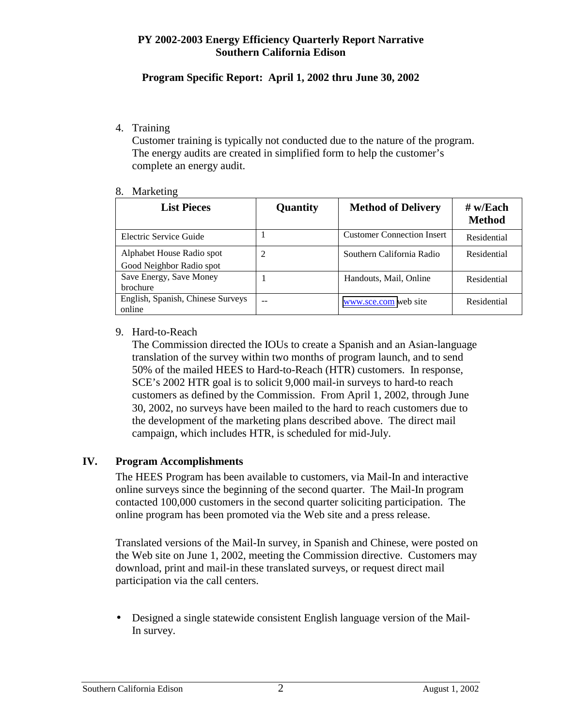# **Program Specific Report: April 1, 2002 thru June 30, 2002**

#### 4. Training

Customer training is typically not conducted due to the nature of the program. The energy audits are created in simplified form to help the customer's complete an energy audit.

#### 8. Marketing

| <b>List Pieces</b>                                    | Quantity | <b>Method of Delivery</b>         | $#$ w/Each<br><b>Method</b> |
|-------------------------------------------------------|----------|-----------------------------------|-----------------------------|
| Electric Service Guide                                |          | <b>Customer Connection Insert</b> | Residential                 |
| Alphabet House Radio spot<br>Good Neighbor Radio spot |          | Southern California Radio         | Residential                 |
| Save Energy, Save Money<br><b>brochure</b>            |          | Handouts, Mail, Online            | Residential                 |
| English, Spanish, Chinese Surveys<br>online           | --       | www.sce.com web site              | Residential                 |

#### 9. Hard-to-Reach

The Commission directed the IOUs to create a Spanish and an Asian-language translation of the survey within two months of program launch, and to send 50% of the mailed HEES to Hard-to-Reach (HTR) customers. In response, SCE's 2002 HTR goal is to solicit 9,000 mail-in surveys to hard-to reach customers as defined by the Commission. From April 1, 2002, through June 30, 2002, no surveys have been mailed to the hard to reach customers due to the development of the marketing plans described above. The direct mail campaign, which includes HTR, is scheduled for mid-July.

# **IV. Program Accomplishments**

The HEES Program has been available to customers, via Mail-In and interactive online surveys since the beginning of the second quarter. The Mail-In program contacted 100,000 customers in the second quarter soliciting participation. The online program has been promoted via the Web site and a press release.

Translated versions of the Mail-In survey, in Spanish and Chinese, were posted on the Web site on June 1, 2002, meeting the Commission directive. Customers may download, print and mail-in these translated surveys, or request direct mail participation via the call centers.

• Designed a single statewide consistent English language version of the Mail-In survey.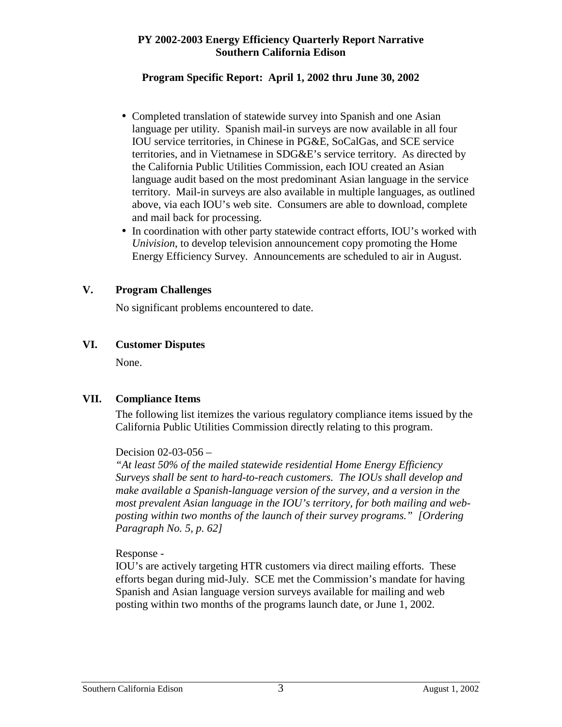#### **Program Specific Report: April 1, 2002 thru June 30, 2002**

- Completed translation of statewide survey into Spanish and one Asian language per utility. Spanish mail-in surveys are now available in all four IOU service territories, in Chinese in PG&E, SoCalGas, and SCE service territories, and in Vietnamese in SDG&E's service territory. As directed by the California Public Utilities Commission, each IOU created an Asian language audit based on the most predominant Asian language in the service territory. Mail-in surveys are also available in multiple languages, as outlined above, via each IOU's web site. Consumers are able to download, complete and mail back for processing.
- In coordination with other party statewide contract efforts, IOU's worked with *Univision*, to develop television announcement copy promoting the Home Energy Efficiency Survey. Announcements are scheduled to air in August.

#### **V. Program Challenges**

No significant problems encountered to date.

# **VI. Customer Disputes**

None.

# **VII. Compliance Items**

The following list itemizes the various regulatory compliance items issued by the California Public Utilities Commission directly relating to this program.

#### Decision 02-03-056 –

*"At least 50% of the mailed statewide residential Home Energy Efficiency Surveys shall be sent to hard-to-reach customers. The IOUs shall develop and make available a Spanish-language version of the survey, and a version in the most prevalent Asian language in the IOU's territory, for both mailing and webposting within two months of the launch of their survey programs." [Ordering Paragraph No. 5, p. 62]* 

#### Response -

IOU's are actively targeting HTR customers via direct mailing efforts. These efforts began during mid-July. SCE met the Commission's mandate for having Spanish and Asian language version surveys available for mailing and web posting within two months of the programs launch date, or June 1, 2002*.*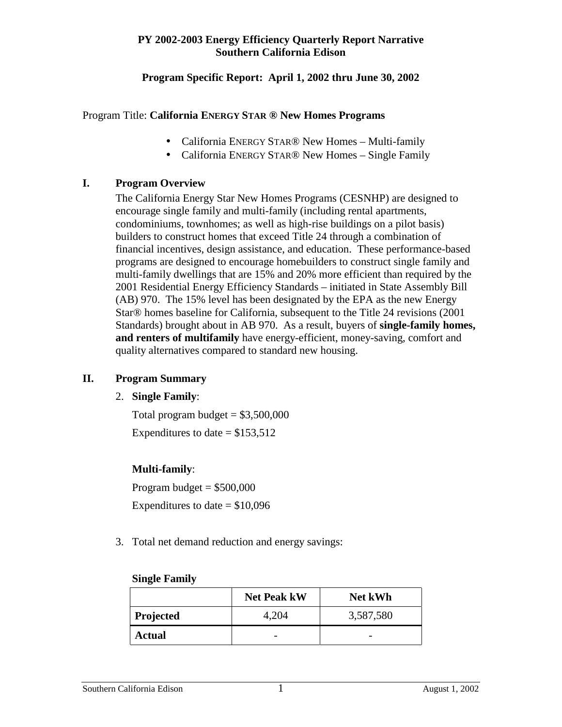#### **Program Specific Report: April 1, 2002 thru June 30, 2002**

#### Program Title: **California ENERGY STAR ® New Homes Programs**

- California ENERGY STAR® New Homes Multi-family
- California ENERGY STAR<sup>®</sup> New Homes Single Family

#### **I. Program Overview**

The California Energy Star New Homes Programs (CESNHP) are designed to encourage single family and multi-family (including rental apartments, condominiums, townhomes; as well as high-rise buildings on a pilot basis) builders to construct homes that exceed Title 24 through a combination of financial incentives, design assistance, and education. These performance-based programs are designed to encourage homebuilders to construct single family and multi-family dwellings that are 15% and 20% more efficient than required by the 2001 Residential Energy Efficiency Standards – initiated in State Assembly Bill (AB) 970. The 15% level has been designated by the EPA as the new Energy Star® homes baseline for California, subsequent to the Title 24 revisions (2001 Standards) brought about in AB 970. As a result, buyers of **single-family homes, and renters of multifamily** have energy-efficient, money-saving, comfort and quality alternatives compared to standard new housing.

#### **II. Program Summary**

#### 2. **Single Family**:

Total program budget  $= $3,500,000$ Expenditures to date  $= $153,512$ 

# **Multi-family**:

Program budget  $= $500,000$ Expenditures to date  $= $10,096$ 

3. Total net demand reduction and energy savings:

#### **Single Family**

|               | <b>Net Peak kW</b> | <b>Net kWh</b>           |
|---------------|--------------------|--------------------------|
| Projected     | 4,204              | 3,587,580                |
| <b>Actual</b> | -                  | $\overline{\phantom{0}}$ |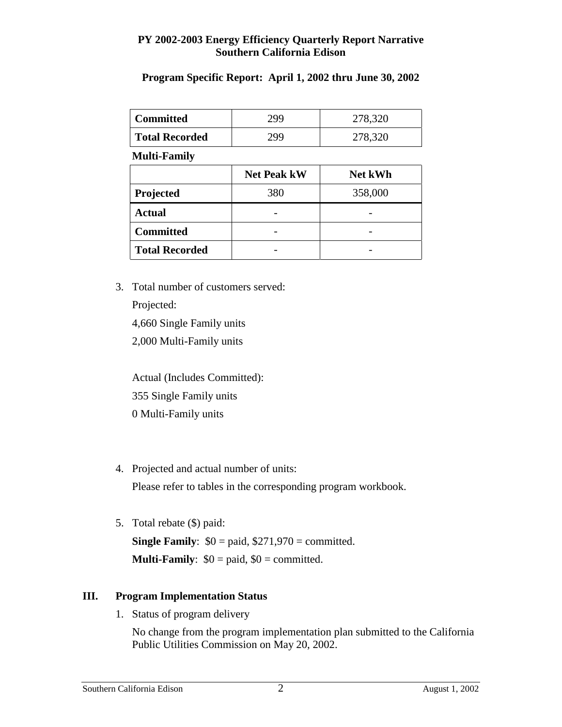#### **Program Specific Report: April 1, 2002 thru June 30, 2002**

| <b>Committed</b>      | 299 | 278,320 |
|-----------------------|-----|---------|
| <b>Total Recorded</b> | 299 | 278,320 |

**Multi-Family** 

|                       | <b>Net Peak kW</b> | <b>Net kWh</b> |
|-----------------------|--------------------|----------------|
| Projected             | 380                | 358,000        |
| <b>Actual</b>         |                    |                |
| <b>Committed</b>      |                    |                |
| <b>Total Recorded</b> |                    |                |

3. Total number of customers served:

Projected:

4,660 Single Family units

2,000 Multi-Family units

Actual (Includes Committed): 355 Single Family units 0 Multi-Family units

4. Projected and actual number of units:

Please refer to tables in the corresponding program workbook.

5. Total rebate (\$) paid:

**Single Family:**  $$0 =$  paid,  $$271,970 =$  committed. **Multi-Family**:  $$0 = paid, $0 = committed.$ 

# **III. Program Implementation Status**

1. Status of program delivery

No change from the program implementation plan submitted to the California Public Utilities Commission on May 20, 2002.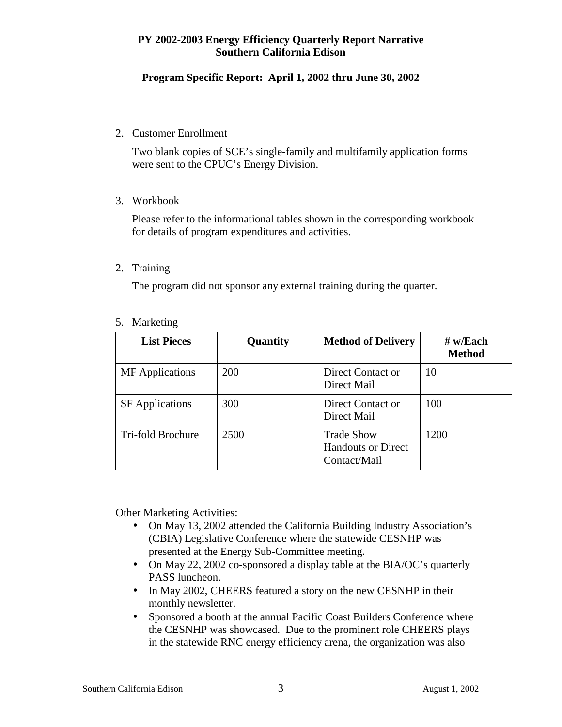# **Program Specific Report: April 1, 2002 thru June 30, 2002**

#### 2. Customer Enrollment

Two blank copies of SCE's single-family and multifamily application forms were sent to the CPUC's Energy Division.

3. Workbook

Please refer to the informational tables shown in the corresponding workbook for details of program expenditures and activities.

2. Training

The program did not sponsor any external training during the quarter.

| <b>List Pieces</b>     | Quantity   | <b>Method of Delivery</b>                                      | $#$ w/Each<br><b>Method</b> |
|------------------------|------------|----------------------------------------------------------------|-----------------------------|
| <b>MF</b> Applications | 200        | Direct Contact or<br>Direct Mail                               | 10                          |
| <b>SF</b> Applications | <b>300</b> | Direct Contact or<br>Direct Mail                               | 100                         |
| Tri-fold Brochure      | 2500       | <b>Trade Show</b><br><b>Handouts or Direct</b><br>Contact/Mail | 1200                        |

5. Marketing

Other Marketing Activities:

- On May 13, 2002 attended the California Building Industry Association's (CBIA) Legislative Conference where the statewide CESNHP was presented at the Energy Sub-Committee meeting.
- On May 22, 2002 co-sponsored a display table at the BIA/OC's quarterly PASS luncheon.
- In May 2002, CHEERS featured a story on the new CESNHP in their monthly newsletter.
- Sponsored a booth at the annual Pacific Coast Builders Conference where the CESNHP was showcased. Due to the prominent role CHEERS plays in the statewide RNC energy efficiency arena, the organization was also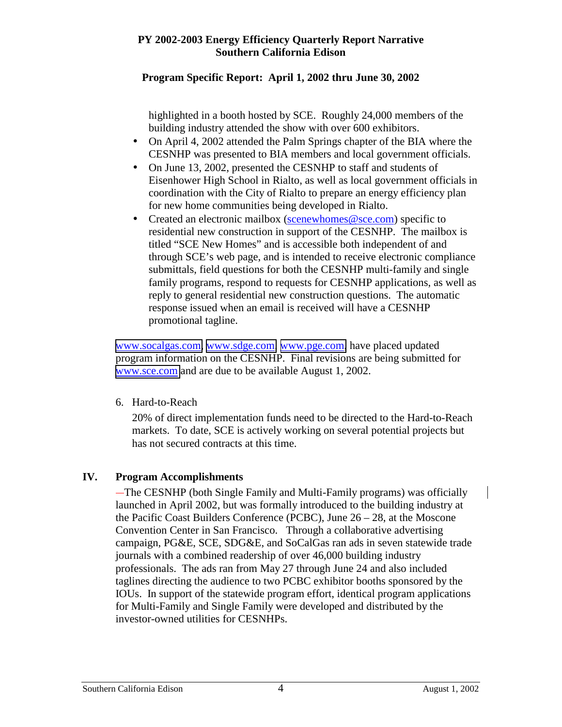# **Program Specific Report: April 1, 2002 thru June 30, 2002**

highlighted in a booth hosted by SCE. Roughly 24,000 members of the building industry attended the show with over 600 exhibitors.

- On April 4, 2002 attended the Palm Springs chapter of the BIA where the CESNHP was presented to BIA members and local government officials.
- On June 13, 2002, presented the CESNHP to staff and students of Eisenhower High School in Rialto, as well as local government officials in coordination with the City of Rialto to prepare an energy efficiency plan for new home communities being developed in Rialto.
- Created an electronic mailbox (scenewhomes@sce.com) specific to residential new construction in support of the CESNHP. The mailbox is titled "SCE New Homes" and is accessible both independent of and through SCE's web page, and is intended to receive electronic compliance submittals, field questions for both the CESNHP multi-family and single family programs, respond to requests for CESNHP applications, as well as reply to general residential new construction questions. The automatic response issued when an email is received will have a CESNHP promotional tagline.

[www.socalgas.com,](http://www.socalgas.com/) [www.sdge.com,](http://www.sdge.com/) [www.pge.com,](http://www.pge.com/) have placed updated program information on the CESNHP. Final revisions are being submitted for [www.sce.com](http://www.sce.com/) and are due to be available August 1, 2002.

6. Hard-to-Reach

20% of direct implementation funds need to be directed to the Hard-to-Reach markets. To date, SCE is actively working on several potential projects but has not secured contracts at this time.

# **IV. Program Accomplishments**

The CESNHP (both Single Family and Multi-Family programs) was officially launched in April 2002, but was formally introduced to the building industry at the Pacific Coast Builders Conference (PCBC), June 26 – 28, at the Moscone Convention Center in San Francisco. Through a collaborative advertising campaign, PG&E, SCE, SDG&E, and SoCalGas ran ads in seven statewide trade journals with a combined readership of over 46,000 building industry professionals. The ads ran from May 27 through June 24 and also included taglines directing the audience to two PCBC exhibitor booths sponsored by the IOUs. In support of the statewide program effort, identical program applications for Multi-Family and Single Family were developed and distributed by the investor-owned utilities for CESNHPs.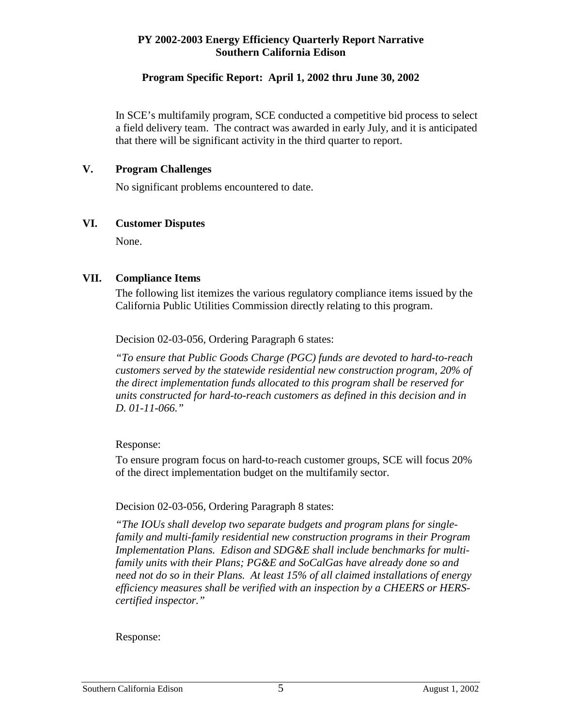#### **Program Specific Report: April 1, 2002 thru June 30, 2002**

In SCE's multifamily program, SCE conducted a competitive bid process to select a field delivery team. The contract was awarded in early July, and it is anticipated that there will be significant activity in the third quarter to report.

#### **V. Program Challenges**

No significant problems encountered to date.

#### **VI. Customer Disputes**

None.

#### **VII. Compliance Items**

The following list itemizes the various regulatory compliance items issued by the California Public Utilities Commission directly relating to this program.

Decision 02-03-056, Ordering Paragraph 6 states:

*"To ensure that Public Goods Charge (PGC) funds are devoted to hard-to-reach customers served by the statewide residential new construction program, 20% of the direct implementation funds allocated to this program shall be reserved for units constructed for hard-to-reach customers as defined in this decision and in D. 01-11-066."* 

#### Response:

To ensure program focus on hard-to-reach customer groups, SCE will focus 20% of the direct implementation budget on the multifamily sector.

#### Decision 02-03-056, Ordering Paragraph 8 states:

*"The IOUs shall develop two separate budgets and program plans for singlefamily and multi-family residential new construction programs in their Program Implementation Plans. Edison and SDG&E shall include benchmarks for multifamily units with their Plans; PG&E and SoCalGas have already done so and need not do so in their Plans. At least 15% of all claimed installations of energy efficiency measures shall be verified with an inspection by a CHEERS or HERScertified inspector."* 

#### Response: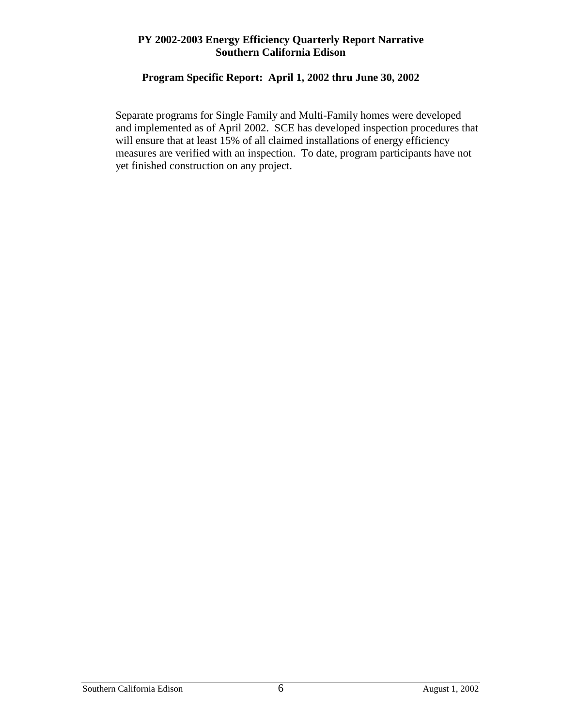# **Program Specific Report: April 1, 2002 thru June 30, 2002**

Separate programs for Single Family and Multi-Family homes were developed and implemented as of April 2002. SCE has developed inspection procedures that will ensure that at least 15% of all claimed installations of energy efficiency measures are verified with an inspection. To date, program participants have not yet finished construction on any project.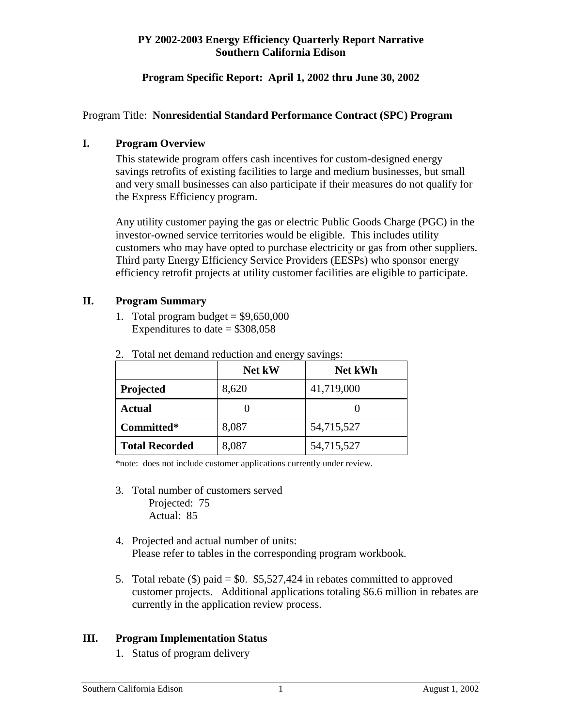#### **Program Specific Report: April 1, 2002 thru June 30, 2002**

#### Program Title: **Nonresidential Standard Performance Contract (SPC) Program**

#### **I. Program Overview**

This statewide program offers cash incentives for custom-designed energy savings retrofits of existing facilities to large and medium businesses, but small and very small businesses can also participate if their measures do not qualify for the Express Efficiency program.

Any utility customer paying the gas or electric Public Goods Charge (PGC) in the investor-owned service territories would be eligible. This includes utility customers who may have opted to purchase electricity or gas from other suppliers. Third party Energy Efficiency Service Providers (EESPs) who sponsor energy efficiency retrofit projects at utility customer facilities are eligible to participate.

#### **II. Program Summary**

1. Total program budget =  $$9,650,000$ Expenditures to date  $= $308,058$ 

|                       | Net kW | <b>Net kWh</b> |
|-----------------------|--------|----------------|
| Projected             | 8,620  | 41,719,000     |
| <b>Actual</b>         |        |                |
| Committed*            | 8,087  | 54,715,527     |
| <b>Total Recorded</b> | 8,087  | 54,715,527     |

2. Total net demand reduction and energy savings:

\*note: does not include customer applications currently under review.

- 3. Total number of customers served Projected: 75 Actual: 85
- 4. Projected and actual number of units: Please refer to tables in the corresponding program workbook.
- 5. Total rebate  $(\$)$  paid = \$0. \$5,527,424 in rebates committed to approved customer projects. Additional applications totaling \$6.6 million in rebates are currently in the application review process.

#### **III. Program Implementation Status**

1. Status of program delivery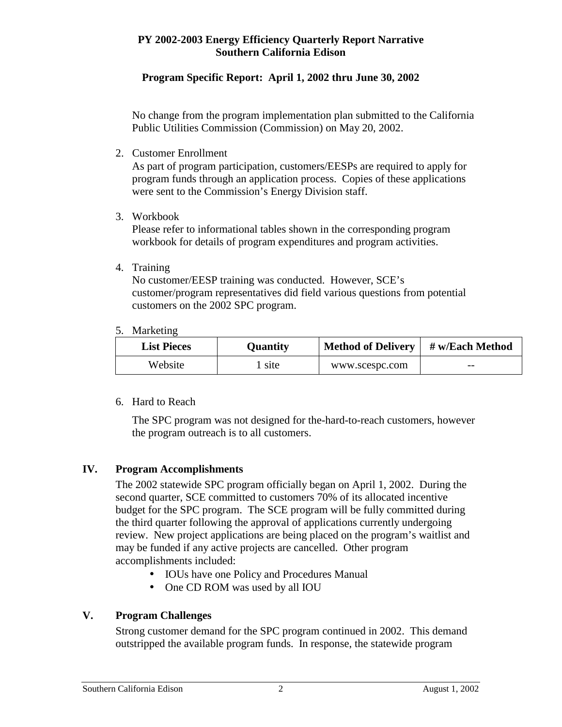# **Program Specific Report: April 1, 2002 thru June 30, 2002**

No change from the program implementation plan submitted to the California Public Utilities Commission (Commission) on May 20, 2002.

2. Customer Enrollment

As part of program participation, customers/EESPs are required to apply for program funds through an application process. Copies of these applications were sent to the Commission's Energy Division staff.

3. Workbook

Please refer to informational tables shown in the corresponding program workbook for details of program expenditures and program activities.

4. Training

No customer/EESP training was conducted. However, SCE's customer/program representatives did field various questions from potential customers on the 2002 SPC program.

5. Marketing

| <b>List Pieces</b> | Ouantity | <b>Method of Delivery</b> | # w/Each Method |
|--------------------|----------|---------------------------|-----------------|
| Website            | site     | www.scespc.com            | $- -$           |

6. Hard to Reach

The SPC program was not designed for the-hard-to-reach customers, however the program outreach is to all customers.

# **IV. Program Accomplishments**

The 2002 statewide SPC program officially began on April 1, 2002. During the second quarter, SCE committed to customers 70% of its allocated incentive budget for the SPC program. The SCE program will be fully committed during the third quarter following the approval of applications currently undergoing review. New project applications are being placed on the program's waitlist and may be funded if any active projects are cancelled. Other program accomplishments included:

- IOUs have one Policy and Procedures Manual
- One CD ROM was used by all IOU

# **V. Program Challenges**

Strong customer demand for the SPC program continued in 2002. This demand outstripped the available program funds. In response, the statewide program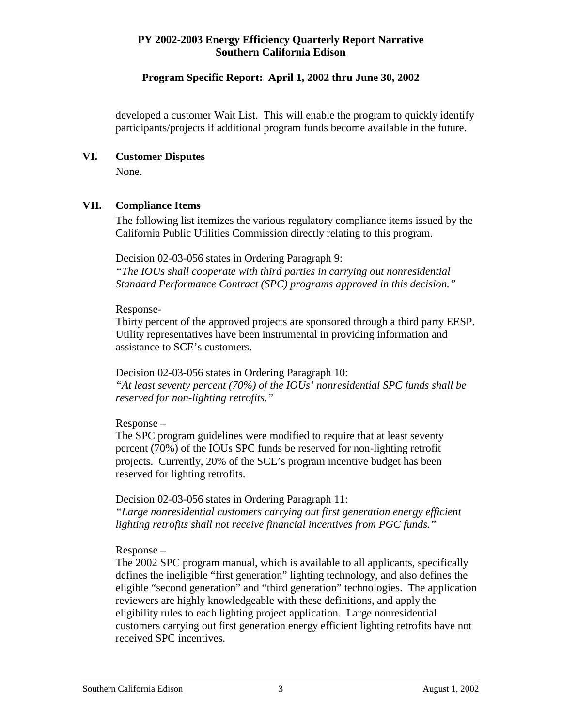#### **Program Specific Report: April 1, 2002 thru June 30, 2002**

developed a customer Wait List. This will enable the program to quickly identify participants/projects if additional program funds become available in the future.

#### **VI. Customer Disputes**

None.

#### **VII. Compliance Items**

The following list itemizes the various regulatory compliance items issued by the California Public Utilities Commission directly relating to this program.

Decision 02-03-056 states in Ordering Paragraph 9: *"The IOUs shall cooperate with third parties in carrying out nonresidential Standard Performance Contract (SPC) programs approved in this decision."* 

#### Response-

Thirty percent of the approved projects are sponsored through a third party EESP. Utility representatives have been instrumental in providing information and assistance to SCE's customers.

Decision 02-03-056 states in Ordering Paragraph 10: *"At least seventy percent (70%) of the IOUs' nonresidential SPC funds shall be reserved for non-lighting retrofits."* 

#### Response –

The SPC program guidelines were modified to require that at least seventy percent (70%) of the IOUs SPC funds be reserved for non-lighting retrofit projects. Currently, 20% of the SCE's program incentive budget has been reserved for lighting retrofits.

Decision 02-03-056 states in Ordering Paragraph 11: *"Large nonresidential customers carrying out first generation energy efficient lighting retrofits shall not receive financial incentives from PGC funds."* 

#### Response –

The 2002 SPC program manual, which is available to all applicants, specifically defines the ineligible "first generation" lighting technology, and also defines the eligible "second generation" and "third generation" technologies. The application reviewers are highly knowledgeable with these definitions, and apply the eligibility rules to each lighting project application. Large nonresidential customers carrying out first generation energy efficient lighting retrofits have not received SPC incentives.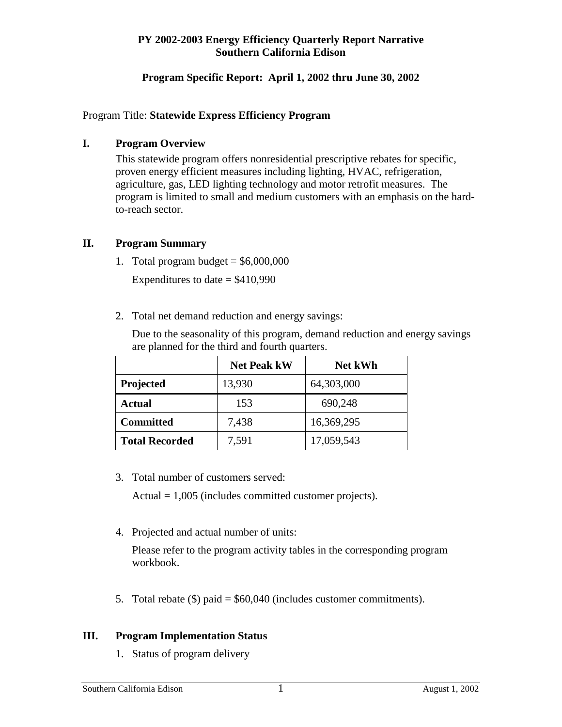#### **Program Specific Report: April 1, 2002 thru June 30, 2002**

#### Program Title: **Statewide Express Efficiency Program**

#### **I. Program Overview**

This statewide program offers nonresidential prescriptive rebates for specific, proven energy efficient measures including lighting, HVAC, refrigeration, agriculture, gas, LED lighting technology and motor retrofit measures. The program is limited to small and medium customers with an emphasis on the hardto-reach sector.

#### **II. Program Summary**

1. Total program budget =  $$6,000,000$ 

Expenditures to date  $=$  \$410,990

2. Total net demand reduction and energy savings:

Due to the seasonality of this program, demand reduction and energy savings are planned for the third and fourth quarters.

|                       | <b>Net Peak kW</b> | <b>Net kWh</b> |
|-----------------------|--------------------|----------------|
| Projected             | 13,930             | 64,303,000     |
| Actual                | 153                | 690,248        |
| <b>Committed</b>      | 7,438              | 16,369,295     |
| <b>Total Recorded</b> | 7,591              | 17,059,543     |

3. Total number of customers served:

Actual  $= 1,005$  (includes committed customer projects).

4. Projected and actual number of units:

Please refer to the program activity tables in the corresponding program workbook.

5. Total rebate  $(\$)$  paid = \$60,040 (includes customer commitments).

#### **III. Program Implementation Status**

1. Status of program delivery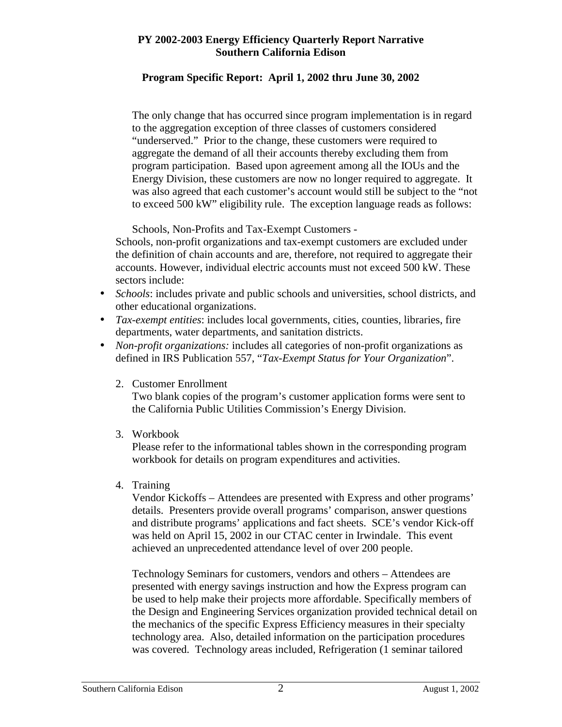# **Program Specific Report: April 1, 2002 thru June 30, 2002**

The only change that has occurred since program implementation is in regard to the aggregation exception of three classes of customers considered "underserved." Prior to the change, these customers were required to aggregate the demand of all their accounts thereby excluding them from program participation. Based upon agreement among all the IOUs and the Energy Division, these customers are now no longer required to aggregate. It was also agreed that each customer's account would still be subject to the "not to exceed 500 kW" eligibility rule. The exception language reads as follows:

Schools, Non-Profits and Tax-Exempt Customers -

Schools, non-profit organizations and tax-exempt customers are excluded under the definition of chain accounts and are, therefore, not required to aggregate their accounts. However, individual electric accounts must not exceed 500 kW. These sectors include:

- *Schools*: includes private and public schools and universities, school districts, and other educational organizations.
- *Tax-exempt entities*: includes local governments, cities, counties, libraries, fire departments, water departments, and sanitation districts.
- *Non-profit organizations:* includes all categories of non-profit organizations as defined in IRS Publication 557, "*Tax-Exempt Status for Your Organization*".
	- 2. Customer Enrollment

Two blank copies of the program's customer application forms were sent to the California Public Utilities Commission's Energy Division.

3. Workbook

Please refer to the informational tables shown in the corresponding program workbook for details on program expenditures and activities.

4. Training

Vendor Kickoffs – Attendees are presented with Express and other programs' details. Presenters provide overall programs' comparison, answer questions and distribute programs' applications and fact sheets. SCE's vendor Kick-off was held on April 15, 2002 in our CTAC center in Irwindale. This event achieved an unprecedented attendance level of over 200 people.

Technology Seminars for customers, vendors and others – Attendees are presented with energy savings instruction and how the Express program can be used to help make their projects more affordable. Specifically members of the Design and Engineering Services organization provided technical detail on the mechanics of the specific Express Efficiency measures in their specialty technology area. Also, detailed information on the participation procedures was covered. Technology areas included, Refrigeration (1 seminar tailored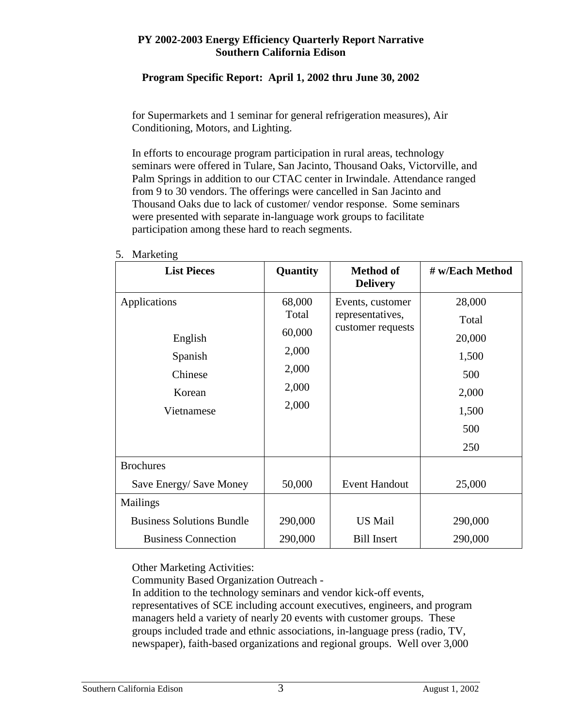# **Program Specific Report: April 1, 2002 thru June 30, 2002**

for Supermarkets and 1 seminar for general refrigeration measures), Air Conditioning, Motors, and Lighting.

In efforts to encourage program participation in rural areas, technology seminars were offered in Tulare, San Jacinto, Thousand Oaks, Victorville, and Palm Springs in addition to our CTAC center in Irwindale. Attendance ranged from 9 to 30 vendors. The offerings were cancelled in San Jacinto and Thousand Oaks due to lack of customer/ vendor response. Some seminars were presented with separate in-language work groups to facilitate participation among these hard to reach segments.

| <b>List Pieces</b>               | Quantity | <b>Method of</b><br><b>Delivery</b> | # w/Each Method |
|----------------------------------|----------|-------------------------------------|-----------------|
| Applications                     | 68,000   | Events, customer                    | 28,000          |
|                                  | Total    | representatives,                    | Total           |
| English                          | 60,000   | customer requests                   | 20,000          |
| Spanish                          | 2,000    |                                     | 1,500           |
| Chinese                          | 2,000    |                                     | 500             |
| Korean                           | 2,000    |                                     | 2,000           |
| Vietnamese                       | 2,000    |                                     | 1,500           |
|                                  |          |                                     | 500             |
|                                  |          |                                     | 250             |
| <b>Brochures</b>                 |          |                                     |                 |
| Save Energy/ Save Money          | 50,000   | <b>Event Handout</b>                | 25,000          |
| <b>Mailings</b>                  |          |                                     |                 |
| <b>Business Solutions Bundle</b> | 290,000  | <b>US Mail</b>                      | 290,000         |
| <b>Business Connection</b>       | 290,000  | <b>Bill Insert</b>                  | 290,000         |

#### 5. Marketing

Other Marketing Activities:

Community Based Organization Outreach -

In addition to the technology seminars and vendor kick-off events, representatives of SCE including account executives, engineers, and program managers held a variety of nearly 20 events with customer groups. These groups included trade and ethnic associations, in-language press (radio, TV, newspaper), faith-based organizations and regional groups. Well over 3,000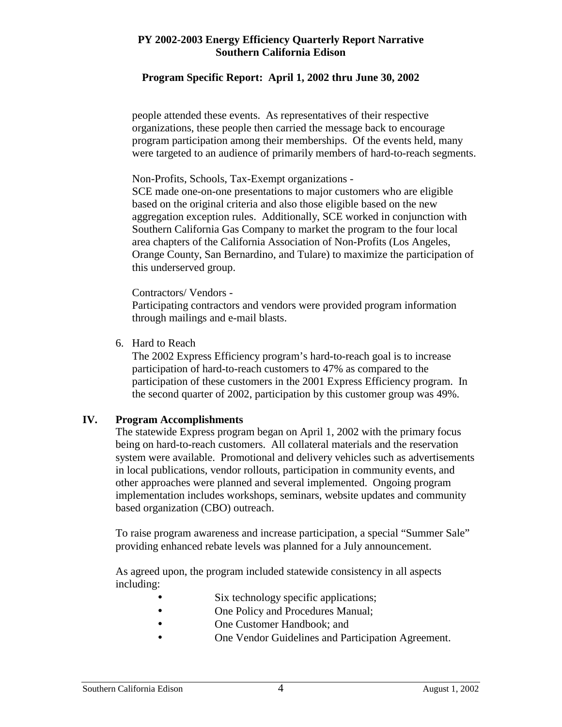#### **Program Specific Report: April 1, 2002 thru June 30, 2002**

people attended these events. As representatives of their respective organizations, these people then carried the message back to encourage program participation among their memberships. Of the events held, many were targeted to an audience of primarily members of hard-to-reach segments.

Non-Profits, Schools, Tax-Exempt organizations -

SCE made one-on-one presentations to major customers who are eligible based on the original criteria and also those eligible based on the new aggregation exception rules. Additionally, SCE worked in conjunction with Southern California Gas Company to market the program to the four local area chapters of the California Association of Non-Profits (Los Angeles, Orange County, San Bernardino, and Tulare) to maximize the participation of this underserved group.

Contractors/ Vendors -

Participating contractors and vendors were provided program information through mailings and e-mail blasts.

6. Hard to Reach

The 2002 Express Efficiency program's hard-to-reach goal is to increase participation of hard-to-reach customers to 47% as compared to the participation of these customers in the 2001 Express Efficiency program. In the second quarter of 2002, participation by this customer group was 49%.

#### **IV. Program Accomplishments**

The statewide Express program began on April 1, 2002 with the primary focus being on hard-to-reach customers. All collateral materials and the reservation system were available. Promotional and delivery vehicles such as advertisements in local publications, vendor rollouts, participation in community events, and other approaches were planned and several implemented. Ongoing program implementation includes workshops, seminars, website updates and community based organization (CBO) outreach.

To raise program awareness and increase participation, a special "Summer Sale" providing enhanced rebate levels was planned for a July announcement.

As agreed upon, the program included statewide consistency in all aspects including:

- Six technology specific applications;
- One Policy and Procedures Manual;
- One Customer Handbook; and
- One Vendor Guidelines and Participation Agreement.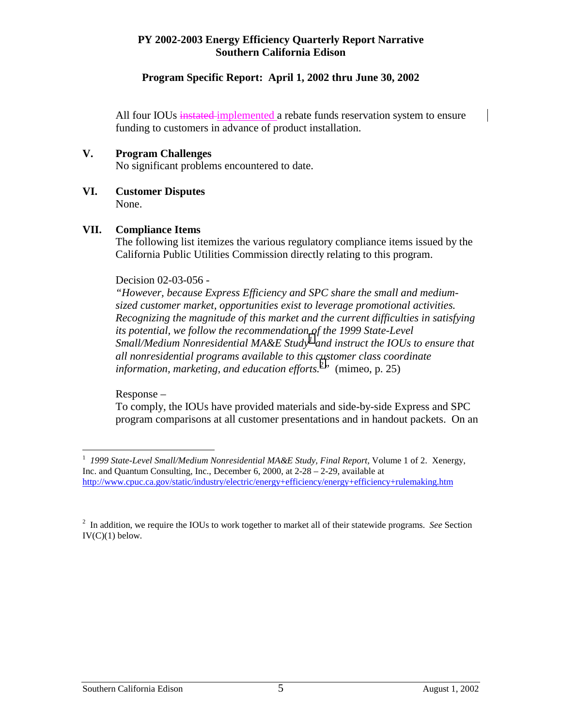#### **Program Specific Report: April 1, 2002 thru June 30, 2002**

All four IOUs instated implemented a rebate funds reservation system to ensure funding to customers in advance of product installation.

#### **V. Program Challenges**

No significant problems encountered to date.

**VI. Customer Disputes**  None.

#### **VII. Compliance Items**

The following list itemizes the various regulatory compliance items issued by the California Public Utilities Commission directly relating to this program.

#### Decision 02-03-056 -

*"However, because Express Efficiency and SPC share the small and mediumsized customer market, opportunities exist to leverage promotional activities. Recognizing the magnitude of this market and the current difficulties in satisfying its potential, we follow the recommendation of the 1999 State-Level Small/Medium Nonresidential MA&E Study1 and instruct the IOUs to ensure that all nonresidential programs available to this customer class coordinate information, marketing, and education efforts.2 "* (mimeo, p. 25)

Response –

To comply, the IOUs have provided materials and side-by-side Express and SPC program comparisons at all customer presentations and in handout packets. On an

 1 *1999 State-Level Small/Medium Nonresidential MA&E Study, Final Report,* Volume 1 of 2. Xenergy, Inc. and Quantum Consulting, Inc., December 6, 2000, at 2-28 – 2-29, available at http://www.cpuc.ca.gov/static/industry/electric/energy+efficiency/energy+efficiency+rulemaking.htm

<sup>2</sup> In addition, we require the IOUs to work together to market all of their statewide programs. *See* Section  $IV(C)(1)$  below.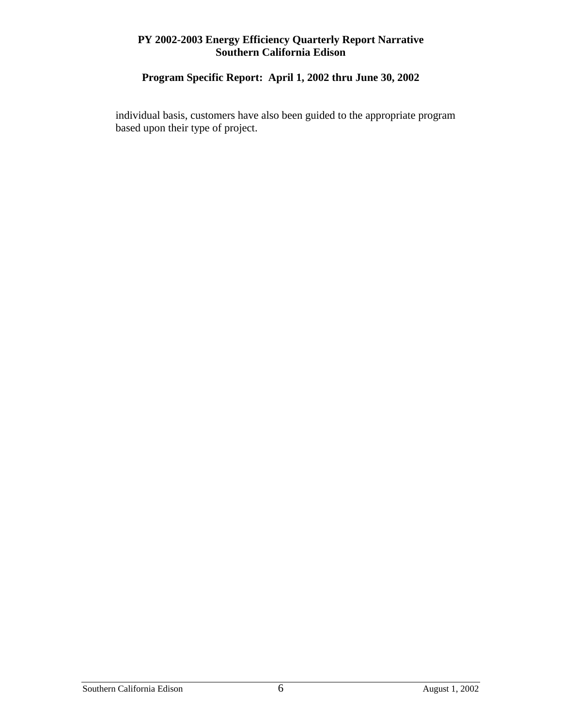# **Program Specific Report: April 1, 2002 thru June 30, 2002**

individual basis, customers have also been guided to the appropriate program based upon their type of project.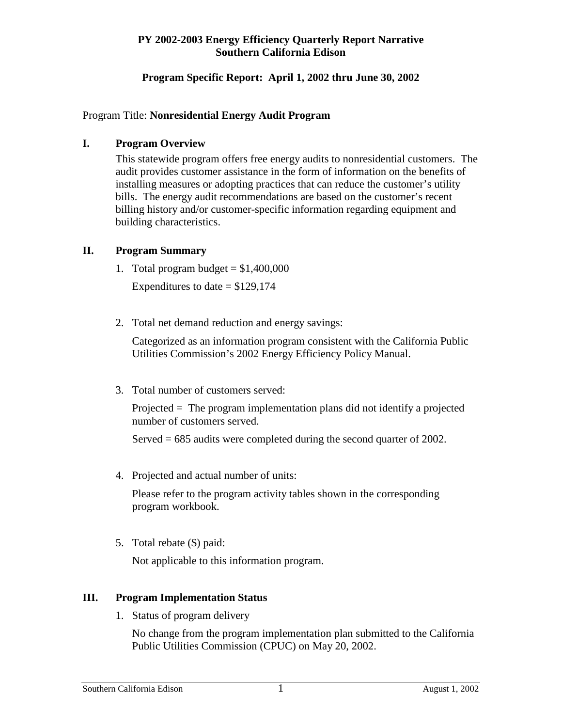# **Program Specific Report: April 1, 2002 thru June 30, 2002**

#### Program Title: **Nonresidential Energy Audit Program**

#### **I. Program Overview**

This statewide program offers free energy audits to nonresidential customers. The audit provides customer assistance in the form of information on the benefits of installing measures or adopting practices that can reduce the customer's utility bills. The energy audit recommendations are based on the customer's recent billing history and/or customer-specific information regarding equipment and building characteristics.

# **II. Program Summary**

1. Total program budget  $= $1,400,000$ 

Expenditures to date  $= $129,174$ 

2. Total net demand reduction and energy savings:

Categorized as an information program consistent with the California Public Utilities Commission's 2002 Energy Efficiency Policy Manual.

3. Total number of customers served:

Projected = The program implementation plans did not identify a projected number of customers served.

Served = 685 audits were completed during the second quarter of 2002.

4. Projected and actual number of units:

Please refer to the program activity tables shown in the corresponding program workbook.

5. Total rebate (\$) paid:

Not applicable to this information program.

#### **III. Program Implementation Status**

1. Status of program delivery

No change from the program implementation plan submitted to the California Public Utilities Commission (CPUC) on May 20, 2002.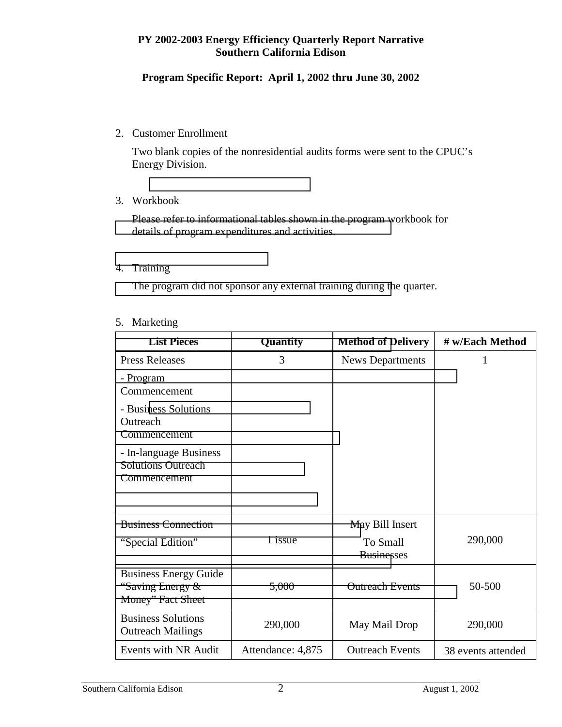#### **Program Specific Report: April 1, 2002 thru June 30, 2002**

#### 2. Customer Enrollment

Two blank copies of the nonresidential audits forms were sent to the CPUC's Energy Division.

#### 3. Workbook

Please refer to informational tables shown in the program workbook for [details of program expenditures and activities.](http://www.rebatesandoffers.com/secondary.asp?pgmid=2051) 

#### [4. Training](http://www.rebatesandoffers.com/)

[The program did not sponsor any external training during th](http://www.rebatesandoffers.com/secondary.asp?pgmid=2051)e quarter.

#### 5. Marketing

| <b>List Pieces</b>                                                    | Quantity          | <b>Method of Delivery</b>     | # w/Each Method    |
|-----------------------------------------------------------------------|-------------------|-------------------------------|--------------------|
| <b>Press Releases</b>                                                 | 3                 | <b>News Departments</b>       | 1                  |
| - Program<br>Commencement                                             |                   |                               |                    |
| - Business Solutions<br>Outreach<br>Commencement                      |                   |                               |                    |
| - In-language Business<br><b>Solutions Outreach</b><br>Commencement   |                   |                               |                    |
| <b>Business Connection</b>                                            |                   | May Bill Insert               |                    |
| "Special Edition"                                                     | 1 issue           | To Small<br><b>Businesses</b> | 290,000            |
| <b>Business Energy Guide</b><br>"Saving Energy &<br>Money" Fact Sheet | 5,000             | <b>Outreach Events</b>        | 50-500             |
| <b>Business Solutions</b><br><b>Outreach Mailings</b>                 | 290,000           | May Mail Drop                 | 290,000            |
| Events with NR Audit                                                  | Attendance: 4,875 | <b>Outreach Events</b>        | 38 events attended |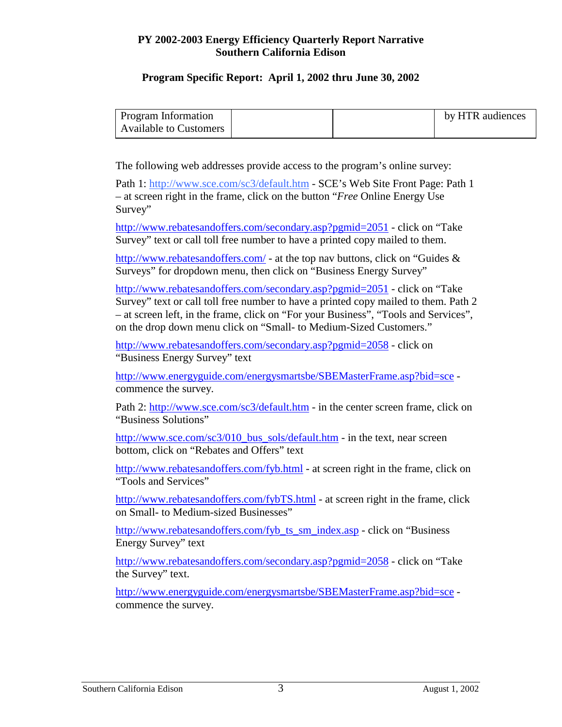#### **Program Specific Report: April 1, 2002 thru June 30, 2002**

| <b>Program Information</b>    |  | by HTR audiences |
|-------------------------------|--|------------------|
| <b>Available to Customers</b> |  |                  |

The following web addresses provide access to the program's online survey:

Path 1: http://www.sce.com/sc3/default.htm - SCE's Web Site Front Page: Path 1 – at screen right in the frame, click on the button "*Free* Online Energy Use Survey"

http://www.rebatesandoffers.com/secondary.asp?pgmid=2051 - click on "Take Survey" text or call toll free number to have a printed copy mailed to them.

http://www.rebatesandoffers.com/ - at the top nav buttons, click on "Guides & Surveys" for dropdown menu, then click on "Business Energy Survey"

http://www.rebatesandoffers.com/secondary.asp?pgmid=2051 - click on "Take Survey" text or call toll free number to have a printed copy mailed to them. Path 2 – at screen left, in the frame, click on "For your Business", "Tools and Services", on the drop down menu click on "Small- to Medium-Sized Customers."

http://www.rebatesandoffers.com/secondary.asp?pgmid=2058 - click on "Business Energy Survey" text

http://www.energyguide.com/energysmartsbe/SBEMasterFrame.asp?bid=sce commence the survey.

Path 2: http://www.sce.com/sc3/default.htm - in the center screen frame, click on "Business Solutions"

http://www.sce.com/sc3/010\_bus\_sols/default.htm - in the text, near screen bottom, click on "Rebates and Offers" text

http://www.rebatesandoffers.com/fyb.html - at screen right in the frame, click on "Tools and Services"

http://www.rebatesandoffers.com/fybTS.html - at screen right in the frame, click on Small- to Medium-sized Businesses"

http://www.rebatesandoffers.com/fyb\_ts\_sm\_index.asp - click on "Business Energy Survey" text

http://www.rebatesandoffers.com/secondary.asp?pgmid=2058 - click on "Take the Survey" text.

http://www.energyguide.com/energysmartsbe/SBEMasterFrame.asp?bid=sce commence the survey.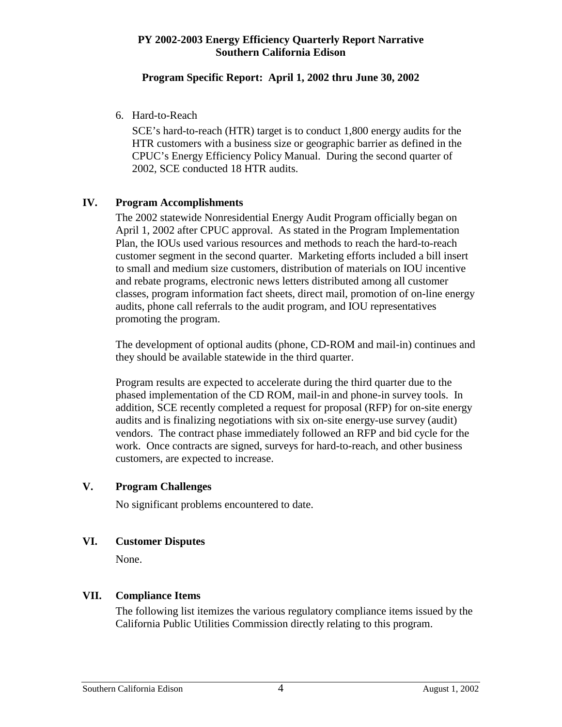#### **Program Specific Report: April 1, 2002 thru June 30, 2002**

6. Hard-to-Reach

SCE's hard-to-reach (HTR) target is to conduct 1,800 energy audits for the HTR customers with a business size or geographic barrier as defined in the CPUC's Energy Efficiency Policy Manual. During the second quarter of 2002, SCE conducted 18 HTR audits.

# **IV. Program Accomplishments**

The 2002 statewide Nonresidential Energy Audit Program officially began on April 1, 2002 after CPUC approval. As stated in the Program Implementation Plan, the IOUs used various resources and methods to reach the hard-to-reach customer segment in the second quarter. Marketing efforts included a bill insert to small and medium size customers, distribution of materials on IOU incentive and rebate programs, electronic news letters distributed among all customer classes, program information fact sheets, direct mail, promotion of on-line energy audits, phone call referrals to the audit program, and IOU representatives promoting the program.

The development of optional audits (phone, CD-ROM and mail-in) continues and they should be available statewide in the third quarter.

Program results are expected to accelerate during the third quarter due to the phased implementation of the CD ROM, mail-in and phone-in survey tools. In addition, SCE recently completed a request for proposal (RFP) for on-site energy audits and is finalizing negotiations with six on-site energy-use survey (audit) vendors. The contract phase immediately followed an RFP and bid cycle for the work. Once contracts are signed, surveys for hard-to-reach, and other business customers, are expected to increase.

#### **V. Program Challenges**

No significant problems encountered to date.

#### **VI. Customer Disputes**

None.

# **VII. Compliance Items**

The following list itemizes the various regulatory compliance items issued by the California Public Utilities Commission directly relating to this program.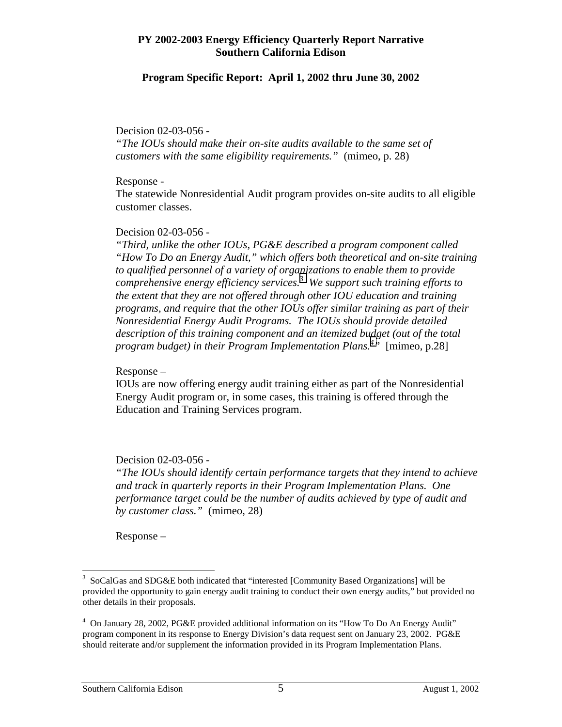#### **Program Specific Report: April 1, 2002 thru June 30, 2002**

#### Decision 02-03-056 -

*"The IOUs should make their on-site audits available to the same set of customers with the same eligibility requirements."* (mimeo, p. 28)

#### Response -

The statewide Nonresidential Audit program provides on-site audits to all eligible customer classes.

#### Decision 02-03-056 -

*"Third, unlike the other IOUs, PG&E described a program component called "How To Do an Energy Audit," which offers both theoretical and on-site training to qualified personnel of a variety of organizations to enable them to provide comprehensive energy efficiency services.3 We support such training efforts to the extent that they are not offered through other IOU education and training programs, and require that the other IOUs offer similar training as part of their Nonresidential Energy Audit Programs. The IOUs should provide detailed description of this training component and an itemized budget (out of the total program budget) in their Program Implementation Plans.4 "* [mimeo, p.28]

#### Response –

IOUs are now offering energy audit training either as part of the Nonresidential Energy Audit program or, in some cases, this training is offered through the Education and Training Services program.

#### Decision 02-03-056 -

*"The IOUs should identify certain performance targets that they intend to achieve and track in quarterly reports in their Program Implementation Plans. One performance target could be the number of audits achieved by type of audit and by customer class."* (mimeo, 28)

Response –

<u>.</u>

<sup>&</sup>lt;sup>3</sup> SoCalGas and SDG&E both indicated that "interested [Community Based Organizations] will be provided the opportunity to gain energy audit training to conduct their own energy audits," but provided no other details in their proposals.

<sup>&</sup>lt;sup>4</sup> On January 28, 2002, PG&E provided additional information on its "How To Do An Energy Audit" program component in its response to Energy Division's data request sent on January 23, 2002. PG&E should reiterate and/or supplement the information provided in its Program Implementation Plans.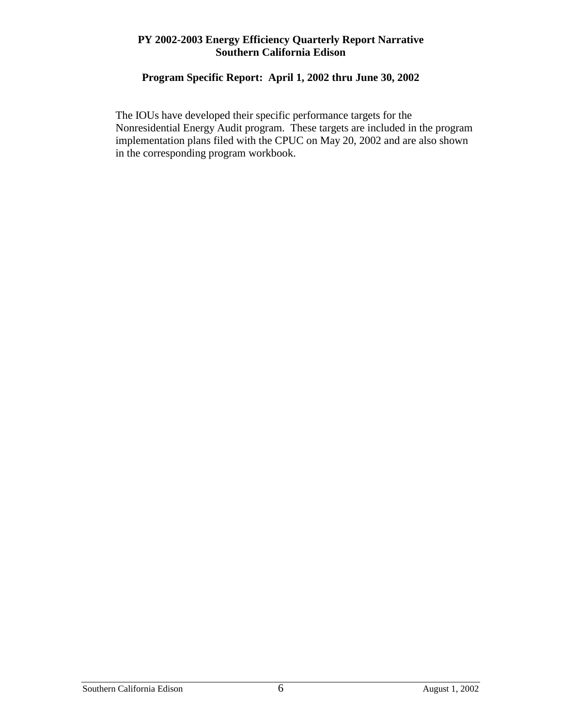# **Program Specific Report: April 1, 2002 thru June 30, 2002**

The IOUs have developed their specific performance targets for the Nonresidential Energy Audit program. These targets are included in the program implementation plans filed with the CPUC on May 20, 2002 and are also shown in the corresponding program workbook.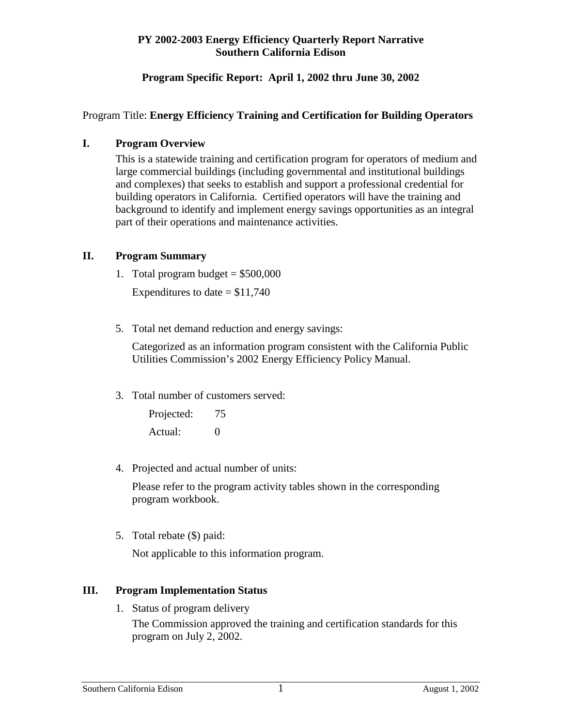# **Program Specific Report: April 1, 2002 thru June 30, 2002**

# Program Title: **Energy Efficiency Training and Certification for Building Operators**

#### **I. Program Overview**

This is a statewide training and certification program for operators of medium and large commercial buildings (including governmental and institutional buildings and complexes) that seeks to establish and support a professional credential for building operators in California. Certified operators will have the training and background to identify and implement energy savings opportunities as an integral part of their operations and maintenance activities.

# **II. Program Summary**

1. Total program budget  $= $500,000$ 

Expenditures to date  $= $11,740$ 

5. Total net demand reduction and energy savings:

Categorized as an information program consistent with the California Public Utilities Commission's 2002 Energy Efficiency Policy Manual.

3. Total number of customers served:

Projected: 75 Actual: 0

4. Projected and actual number of units:

Please refer to the program activity tables shown in the corresponding program workbook.

5. Total rebate (\$) paid:

Not applicable to this information program.

#### **III. Program Implementation Status**

1. Status of program delivery The Commission approved the training and certification standards for this program on July 2, 2002.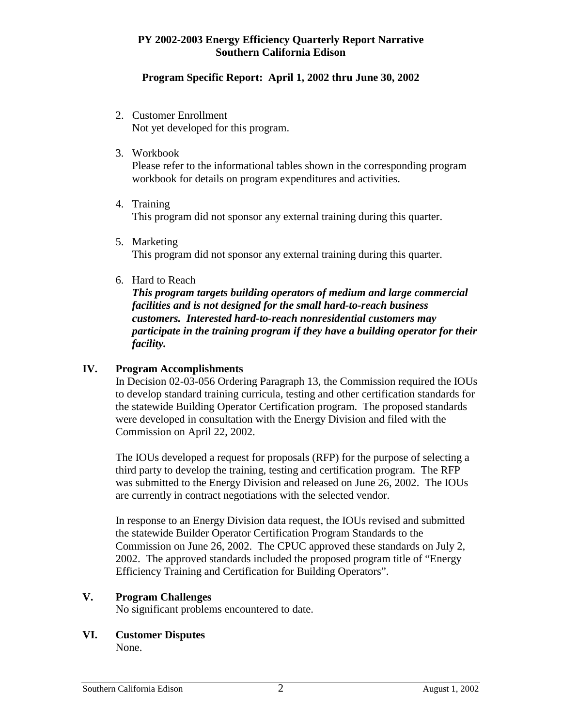#### **Program Specific Report: April 1, 2002 thru June 30, 2002**

- 2. Customer Enrollment Not yet developed for this program.
- 3. Workbook

Please refer to the informational tables shown in the corresponding program workbook for details on program expenditures and activities.

- 4. Training This program did not sponsor any external training during this quarter.
- 5. Marketing This program did not sponsor any external training during this quarter.
- 6. Hard to Reach

*This program targets building operators of medium and large commercial facilities and is not designed for the small hard-to-reach business customers. Interested hard-to-reach nonresidential customers may participate in the training program if they have a building operator for their facility.* 

#### **IV. Program Accomplishments**

In Decision 02-03-056 Ordering Paragraph 13, the Commission required the IOUs to develop standard training curricula, testing and other certification standards for the statewide Building Operator Certification program. The proposed standards were developed in consultation with the Energy Division and filed with the Commission on April 22, 2002.

The IOUs developed a request for proposals (RFP) for the purpose of selecting a third party to develop the training, testing and certification program. The RFP was submitted to the Energy Division and released on June 26, 2002. The IOUs are currently in contract negotiations with the selected vendor.

In response to an Energy Division data request, the IOUs revised and submitted the statewide Builder Operator Certification Program Standards to the Commission on June 26, 2002. The CPUC approved these standards on July 2, 2002. The approved standards included the proposed program title of "Energy Efficiency Training and Certification for Building Operators".

#### **V. Program Challenges**

No significant problems encountered to date.

#### **VI. Customer Disputes**

None.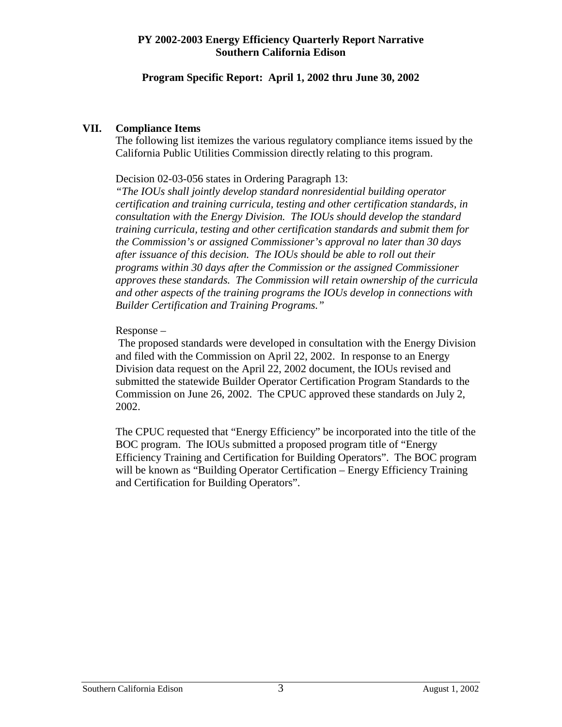#### **Program Specific Report: April 1, 2002 thru June 30, 2002**

#### **VII. Compliance Items**

The following list itemizes the various regulatory compliance items issued by the California Public Utilities Commission directly relating to this program.

Decision 02-03-056 states in Ordering Paragraph 13:

*"The IOUs shall jointly develop standard nonresidential building operator certification and training curricula, testing and other certification standards, in consultation with the Energy Division. The IOUs should develop the standard training curricula, testing and other certification standards and submit them for the Commission's or assigned Commissioner's approval no later than 30 days after issuance of this decision. The IOUs should be able to roll out their programs within 30 days after the Commission or the assigned Commissioner approves these standards. The Commission will retain ownership of the curricula and other aspects of the training programs the IOUs develop in connections with Builder Certification and Training Programs."* 

#### Response –

 The proposed standards were developed in consultation with the Energy Division and filed with the Commission on April 22, 2002. In response to an Energy Division data request on the April 22, 2002 document, the IOUs revised and submitted the statewide Builder Operator Certification Program Standards to the Commission on June 26, 2002. The CPUC approved these standards on July 2, 2002.

The CPUC requested that "Energy Efficiency" be incorporated into the title of the BOC program. The IOUs submitted a proposed program title of "Energy Efficiency Training and Certification for Building Operators". The BOC program will be known as "Building Operator Certification – Energy Efficiency Training and Certification for Building Operators".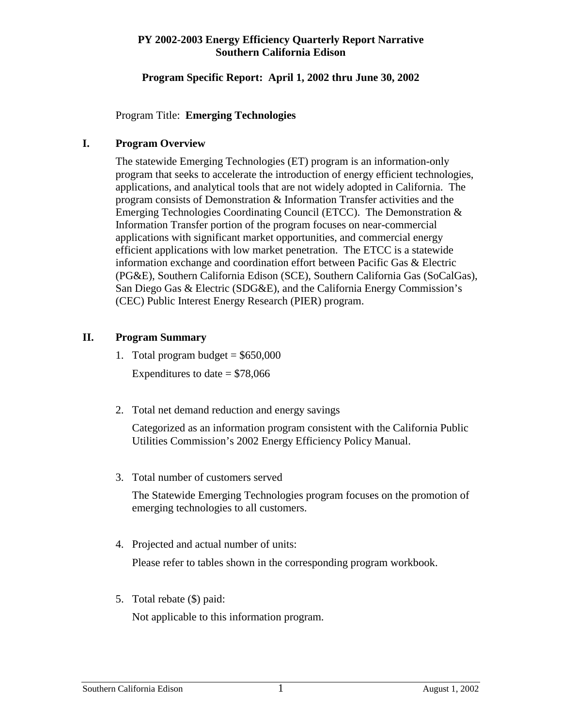#### **Program Specific Report: April 1, 2002 thru June 30, 2002**

Program Title: **Emerging Technologies**

# **I. Program Overview**

The statewide Emerging Technologies (ET) program is an information-only program that seeks to accelerate the introduction of energy efficient technologies, applications, and analytical tools that are not widely adopted in California. The program consists of Demonstration & Information Transfer activities and the Emerging Technologies Coordinating Council (ETCC). The Demonstration & Information Transfer portion of the program focuses on near-commercial applications with significant market opportunities, and commercial energy efficient applications with low market penetration. The ETCC is a statewide information exchange and coordination effort between Pacific Gas & Electric (PG&E), Southern California Edison (SCE), Southern California Gas (SoCalGas), San Diego Gas & Electric (SDG&E), and the California Energy Commission's (CEC) Public Interest Energy Research (PIER) program.

# **II. Program Summary**

- 1. Total program budget  $= $650,000$ Expenditures to date  $= $78,066$
- 2. Total net demand reduction and energy savings

Categorized as an information program consistent with the California Public Utilities Commission's 2002 Energy Efficiency Policy Manual.

3. Total number of customers served

The Statewide Emerging Technologies program focuses on the promotion of emerging technologies to all customers.

4. Projected and actual number of units:

Please refer to tables shown in the corresponding program workbook.

5. Total rebate (\$) paid:

Not applicable to this information program.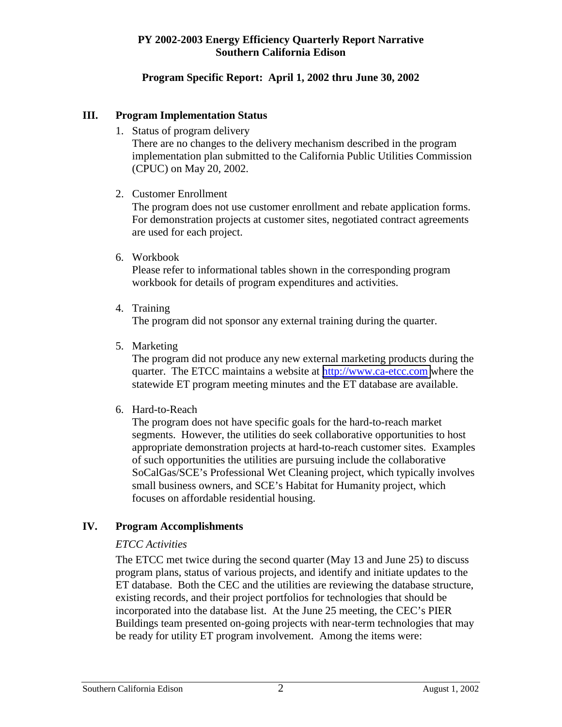# **Program Specific Report: April 1, 2002 thru June 30, 2002**

#### **III. Program Implementation Status**

1. Status of program delivery

There are no changes to the delivery mechanism described in the program implementation plan submitted to the California Public Utilities Commission (CPUC) on May 20, 2002.

2. Customer Enrollment

The program does not use customer enrollment and rebate application forms. For demonstration projects at customer sites, negotiated contract agreements are used for each project.

6. Workbook

Please refer to informational tables shown in the corresponding program workbook for details of program expenditures and activities.

4. Training

The program did not sponsor any external training during the quarter.

5. Marketing

The program did not produce any new external marketing products during the quarter. The ETCC maintains a website at [http://www.ca-etcc.com](http://www.ca-etcc.com/) where the statewide ET program meeting minutes and the ET database are available.

6. Hard-to-Reach

The program does not have specific goals for the hard-to-reach market segments. However, the utilities do seek collaborative opportunities to host appropriate demonstration projects at hard-to-reach customer sites. Examples of such opportunities the utilities are pursuing include the collaborative SoCalGas/SCE's Professional Wet Cleaning project, which typically involves small business owners, and SCE's Habitat for Humanity project, which focuses on affordable residential housing.

# **IV. Program Accomplishments**

# *ETCC Activities*

The ETCC met twice during the second quarter (May 13 and June 25) to discuss program plans, status of various projects, and identify and initiate updates to the ET database. Both the CEC and the utilities are reviewing the database structure, existing records, and their project portfolios for technologies that should be incorporated into the database list. At the June 25 meeting, the CEC's PIER Buildings team presented on-going projects with near-term technologies that may be ready for utility ET program involvement. Among the items were: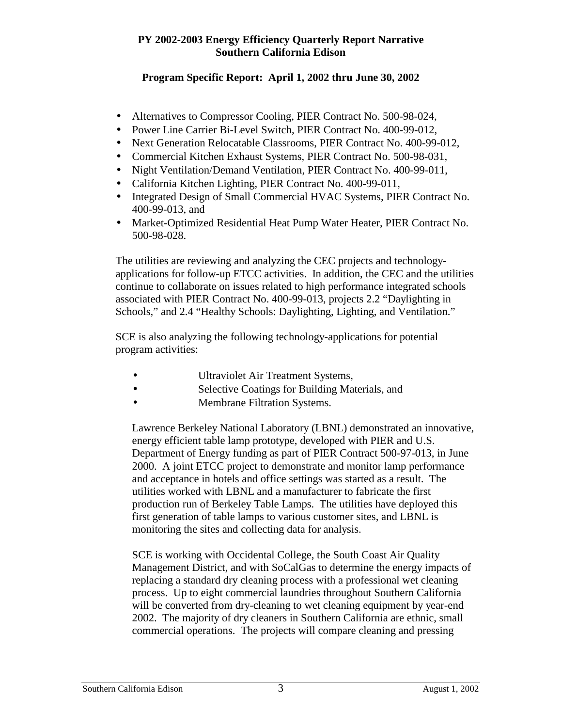# **Program Specific Report: April 1, 2002 thru June 30, 2002**

- Alternatives to Compressor Cooling, PIER Contract No. 500-98-024,
- Power Line Carrier Bi-Level Switch, PIER Contract No. 400-99-012,
- Next Generation Relocatable Classrooms, PIER Contract No. 400-99-012,
- Commercial Kitchen Exhaust Systems, PIER Contract No. 500-98-031,
- Night Ventilation/Demand Ventilation, PIER Contract No. 400-99-011,
- California Kitchen Lighting, PIER Contract No. 400-99-011.
- Integrated Design of Small Commercial HVAC Systems, PIER Contract No. 400-99-013, and
- Market-Optimized Residential Heat Pump Water Heater, PIER Contract No. 500-98-028.

The utilities are reviewing and analyzing the CEC projects and technologyapplications for follow-up ETCC activities. In addition, the CEC and the utilities continue to collaborate on issues related to high performance integrated schools associated with PIER Contract No. 400-99-013, projects 2.2 "Daylighting in Schools," and 2.4 "Healthy Schools: Daylighting, Lighting, and Ventilation."

SCE is also analyzing the following technology-applications for potential program activities:

- Ultraviolet Air Treatment Systems,
- Selective Coatings for Building Materials, and
- Membrane Filtration Systems.

Lawrence Berkeley National Laboratory (LBNL) demonstrated an innovative, energy efficient table lamp prototype, developed with PIER and U.S. Department of Energy funding as part of PIER Contract 500-97-013, in June 2000. A joint ETCC project to demonstrate and monitor lamp performance and acceptance in hotels and office settings was started as a result. The utilities worked with LBNL and a manufacturer to fabricate the first production run of Berkeley Table Lamps. The utilities have deployed this first generation of table lamps to various customer sites, and LBNL is monitoring the sites and collecting data for analysis.

SCE is working with Occidental College, the South Coast Air Quality Management District, and with SoCalGas to determine the energy impacts of replacing a standard dry cleaning process with a professional wet cleaning process. Up to eight commercial laundries throughout Southern California will be converted from dry-cleaning to wet cleaning equipment by year-end 2002. The majority of dry cleaners in Southern California are ethnic, small commercial operations. The projects will compare cleaning and pressing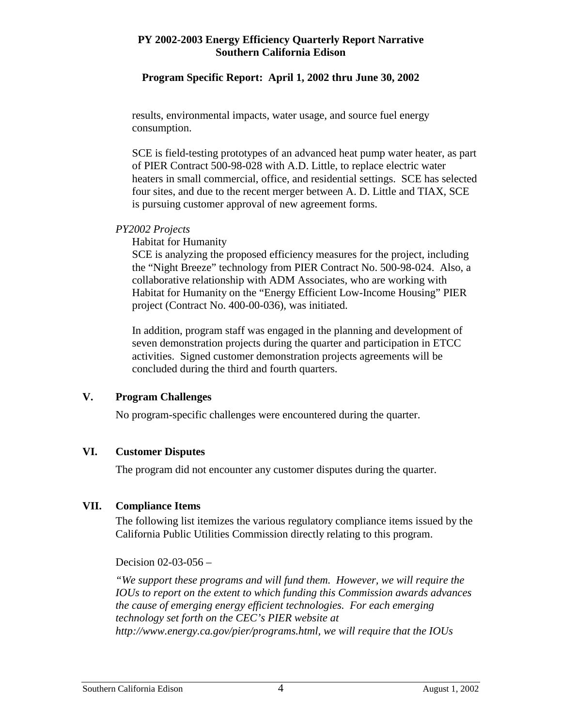#### **Program Specific Report: April 1, 2002 thru June 30, 2002**

results, environmental impacts, water usage, and source fuel energy consumption.

SCE is field-testing prototypes of an advanced heat pump water heater, as part of PIER Contract 500-98-028 with A.D. Little, to replace electric water heaters in small commercial, office, and residential settings. SCE has selected four sites, and due to the recent merger between A. D. Little and TIAX, SCE is pursuing customer approval of new agreement forms.

#### *PY2002 Projects*

Habitat for Humanity

SCE is analyzing the proposed efficiency measures for the project, including the "Night Breeze" technology from PIER Contract No. 500-98-024. Also, a collaborative relationship with ADM Associates, who are working with Habitat for Humanity on the "Energy Efficient Low-Income Housing" PIER project (Contract No. 400-00-036), was initiated.

In addition, program staff was engaged in the planning and development of seven demonstration projects during the quarter and participation in ETCC activities. Signed customer demonstration projects agreements will be concluded during the third and fourth quarters.

#### **V. Program Challenges**

No program-specific challenges were encountered during the quarter.

#### **VI. Customer Disputes**

The program did not encounter any customer disputes during the quarter.

# **VII. Compliance Items**

The following list itemizes the various regulatory compliance items issued by the California Public Utilities Commission directly relating to this program.

Decision 02-03-056 –

*"We support these programs and will fund them. However, we will require the IOUs to report on the extent to which funding this Commission awards advances the cause of emerging energy efficient technologies. For each emerging technology set forth on the CEC's PIER website at http://www.energy.ca.gov/pier/programs.html, we will require that the IOUs*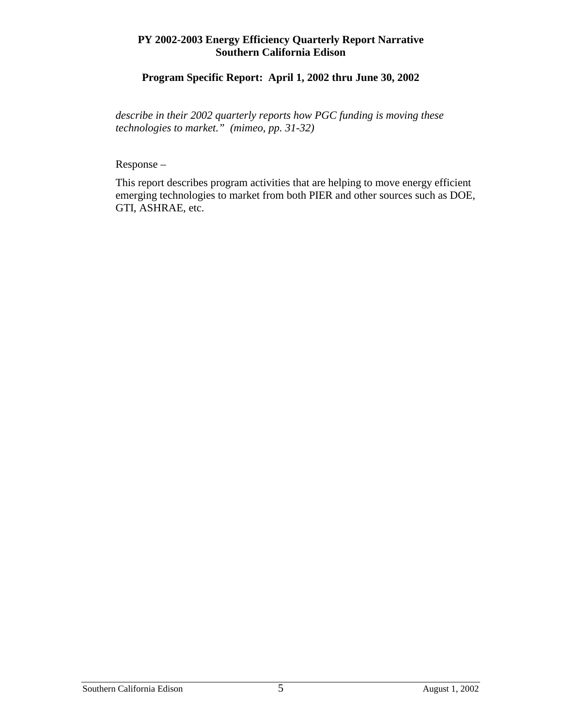# **Program Specific Report: April 1, 2002 thru June 30, 2002**

*describe in their 2002 quarterly reports how PGC funding is moving these technologies to market." (mimeo, pp. 31-32)* 

Response –

This report describes program activities that are helping to move energy efficient emerging technologies to market from both PIER and other sources such as DOE, GTI, ASHRAE, etc.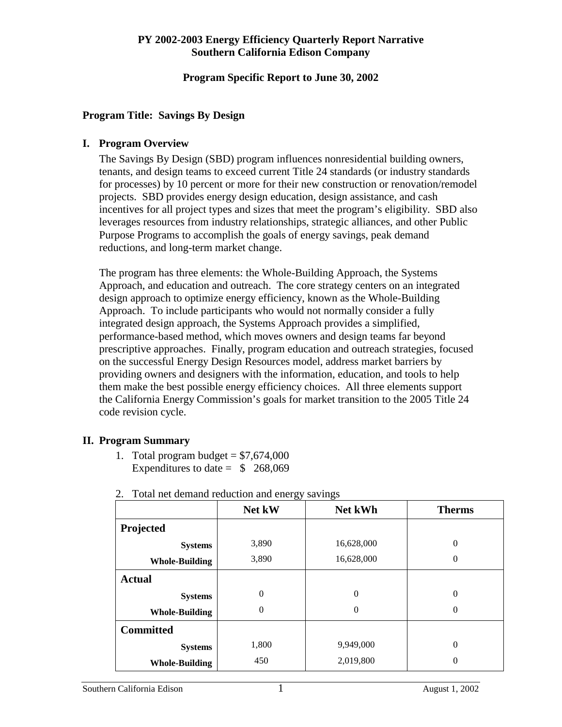#### **Program Specific Report to June 30, 2002**

#### **Program Title: Savings By Design**

#### **I. Program Overview**

The Savings By Design (SBD) program influences nonresidential building owners, tenants, and design teams to exceed current Title 24 standards (or industry standards for processes) by 10 percent or more for their new construction or renovation/remodel projects. SBD provides energy design education, design assistance, and cash incentives for all project types and sizes that meet the program's eligibility. SBD also leverages resources from industry relationships, strategic alliances, and other Public Purpose Programs to accomplish the goals of energy savings, peak demand reductions, and long-term market change.

The program has three elements: the Whole-Building Approach, the Systems Approach, and education and outreach. The core strategy centers on an integrated design approach to optimize energy efficiency, known as the Whole-Building Approach. To include participants who would not normally consider a fully integrated design approach, the Systems Approach provides a simplified, performance-based method, which moves owners and design teams far beyond prescriptive approaches. Finally, program education and outreach strategies, focused on the successful Energy Design Resources model, address market barriers by providing owners and designers with the information, education, and tools to help them make the best possible energy efficiency choices. All three elements support the California Energy Commission's goals for market transition to the 2005 Title 24 code revision cycle.

#### **II. Program Summary**

1. Total program budget  $= $7,674,000$ Expenditures to date  $=$  \$ 268,069

|                       | Net kW         | Net kWh          | <b>Therms</b> |
|-----------------------|----------------|------------------|---------------|
| Projected             |                |                  |               |
| <b>Systems</b>        | 3,890          | 16,628,000       | $\theta$      |
| <b>Whole-Building</b> | 3,890          | 16,628,000       | $\theta$      |
| <b>Actual</b>         |                |                  |               |
| <b>Systems</b>        | $\overline{0}$ | $\boldsymbol{0}$ | $\theta$      |
| <b>Whole-Building</b> | $\overline{0}$ | $\theta$         | $\theta$      |
| <b>Committed</b>      |                |                  |               |
| <b>Systems</b>        | 1,800          | 9,949,000        | $\theta$      |
| <b>Whole-Building</b> | 450            | 2,019,800        | $\theta$      |

2. Total net demand reduction and energy savings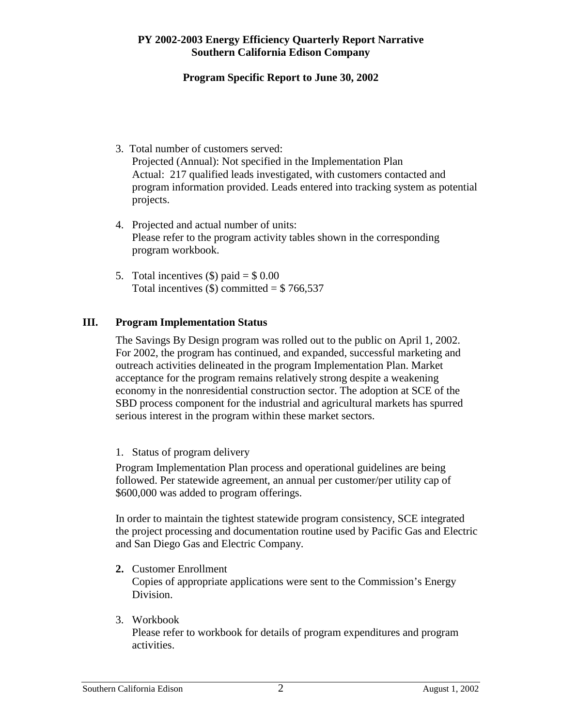# **Program Specific Report to June 30, 2002**

- 3. Total number of customers served: Projected (Annual): Not specified in the Implementation Plan Actual: 217 qualified leads investigated, with customers contacted and program information provided. Leads entered into tracking system as potential projects.
- 4. Projected and actual number of units: Please refer to the program activity tables shown in the corresponding program workbook.
- 5. Total incentives  $(\$)$  paid =  $\$$  0.00 Total incentives  $(\$)$  committed =  $\$$  766,537

# **III. Program Implementation Status**

The Savings By Design program was rolled out to the public on April 1, 2002. For 2002, the program has continued, and expanded, successful marketing and outreach activities delineated in the program Implementation Plan. Market acceptance for the program remains relatively strong despite a weakening economy in the nonresidential construction sector. The adoption at SCE of the SBD process component for the industrial and agricultural markets has spurred serious interest in the program within these market sectors.

1. Status of program delivery

Program Implementation Plan process and operational guidelines are being followed. Per statewide agreement, an annual per customer/per utility cap of \$600,000 was added to program offerings.

In order to maintain the tightest statewide program consistency, SCE integrated the project processing and documentation routine used by Pacific Gas and Electric and San Diego Gas and Electric Company.

- **2.** Customer Enrollment Copies of appropriate applications were sent to the Commission's Energy Division.
- 3. Workbook

Please refer to workbook for details of program expenditures and program activities.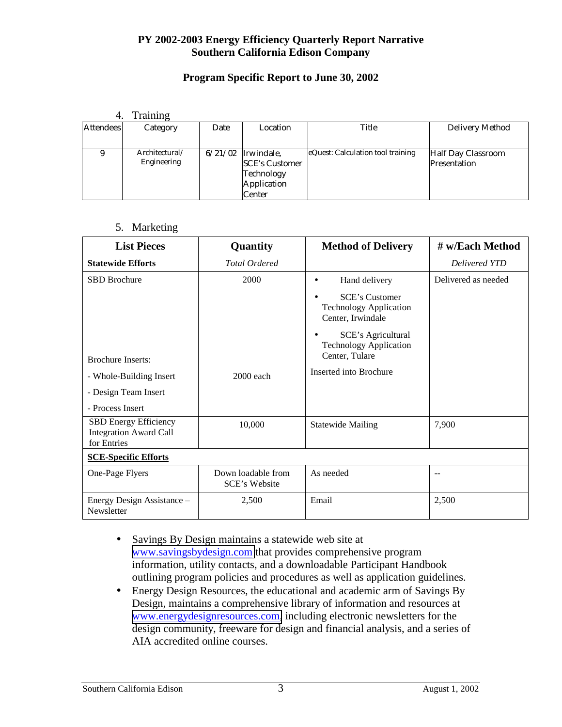# **Program Specific Report to June 30, 2002**

#### 4. Training

| <b>Attendees</b> | Category                      | Date    | Location                                                                   | Title                             | Delivery Method                    |
|------------------|-------------------------------|---------|----------------------------------------------------------------------------|-----------------------------------|------------------------------------|
|                  |                               |         |                                                                            |                                   |                                    |
|                  | Architectural/<br>Engineering | 6/21/02 | Irwindale,<br><b>SCE's Customer</b><br>Technology<br>Application<br>Center | eQuest: Calculation tool training | Half Day Classroom<br>Presentation |

#### 5. Marketing

| <b>List Pieces</b>                                                           | Quantity                                   | <b>Method of Delivery</b>                                                    | # w/Each Method     |
|------------------------------------------------------------------------------|--------------------------------------------|------------------------------------------------------------------------------|---------------------|
| <b>Statewide Efforts</b>                                                     | <b>Total Ordered</b>                       |                                                                              | Delivered YTD       |
| <b>SBD</b> Brochure                                                          | 2000                                       | Hand delivery                                                                | Delivered as needed |
|                                                                              |                                            | <b>SCE's Customer</b><br><b>Technology Application</b><br>Center, Irwindale  |                     |
|                                                                              |                                            | <b>SCE's Agricultural</b><br><b>Technology Application</b><br>Center, Tulare |                     |
| <b>Brochure Inserts:</b>                                                     |                                            |                                                                              |                     |
| - Whole-Building Insert                                                      | 2000 each                                  | Inserted into Brochure                                                       |                     |
| - Design Team Insert                                                         |                                            |                                                                              |                     |
| - Process Insert                                                             |                                            |                                                                              |                     |
| <b>SBD Energy Efficiency</b><br><b>Integration Award Call</b><br>for Entries | 10,000                                     | <b>Statewide Mailing</b>                                                     | 7,900               |
| <b>SCE-Specific Efforts</b>                                                  |                                            |                                                                              |                     |
| One-Page Flyers                                                              | Down loadable from<br><b>SCE's Website</b> | As needed                                                                    | --                  |
| Energy Design Assistance -<br>Newsletter                                     | 2,500                                      | Email                                                                        | 2,500               |

- Savings By Design maintains a statewide web site at [www.savingsbydesign.com](http://www.savingsbydesign.com/) that provides comprehensive program information, utility contacts, and a downloadable Participant Handbook outlining program policies and procedures as well as application guidelines.
- Energy Design Resources, the educational and academic arm of Savings By Design, maintains a comprehensive library of information and resources at [www.energydesignresources.com,](http://www.energydesignresources.com/) including electronic newsletters for the design community, freeware for design and financial analysis, and a series of AIA accredited online courses.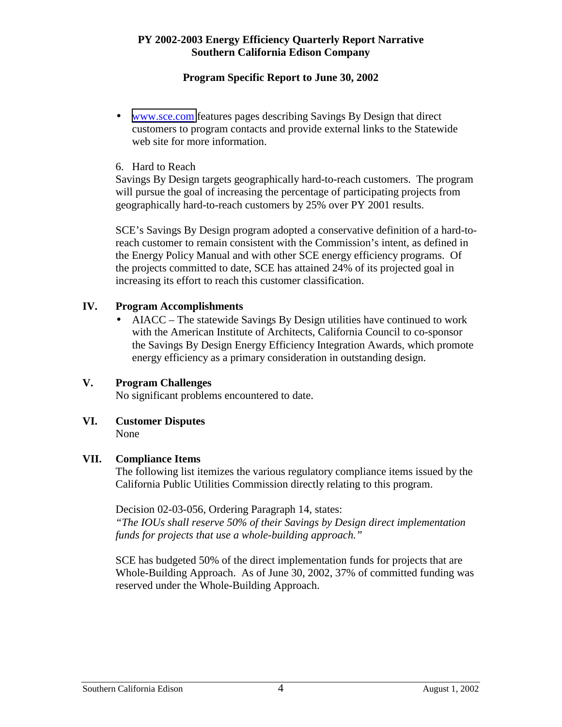# **Program Specific Report to June 30, 2002**

• [www.sce.com](http://www.pge.com/) features pages describing Savings By Design that direct customers to program contacts and provide external links to the Statewide web site for more information.

#### 6. Hard to Reach

Savings By Design targets geographically hard-to-reach customers. The program will pursue the goal of increasing the percentage of participating projects from geographically hard-to-reach customers by 25% over PY 2001 results.

SCE's Savings By Design program adopted a conservative definition of a hard-toreach customer to remain consistent with the Commission's intent, as defined in the Energy Policy Manual and with other SCE energy efficiency programs. Of the projects committed to date, SCE has attained 24% of its projected goal in increasing its effort to reach this customer classification.

# **IV. Program Accomplishments**

• AIACC – The statewide Savings By Design utilities have continued to work with the American Institute of Architects, California Council to co-sponsor the Savings By Design Energy Efficiency Integration Awards, which promote energy efficiency as a primary consideration in outstanding design.

# **V. Program Challenges**

No significant problems encountered to date.

#### **VI. Customer Disputes**  None

# **VII. Compliance Items**

The following list itemizes the various regulatory compliance items issued by the California Public Utilities Commission directly relating to this program.

Decision 02-03-056, Ordering Paragraph 14, states:

*"The IOUs shall reserve 50% of their Savings by Design direct implementation funds for projects that use a whole-building approach."* 

SCE has budgeted 50% of the direct implementation funds for projects that are Whole-Building Approach. As of June 30, 2002, 37% of committed funding was reserved under the Whole-Building Approach.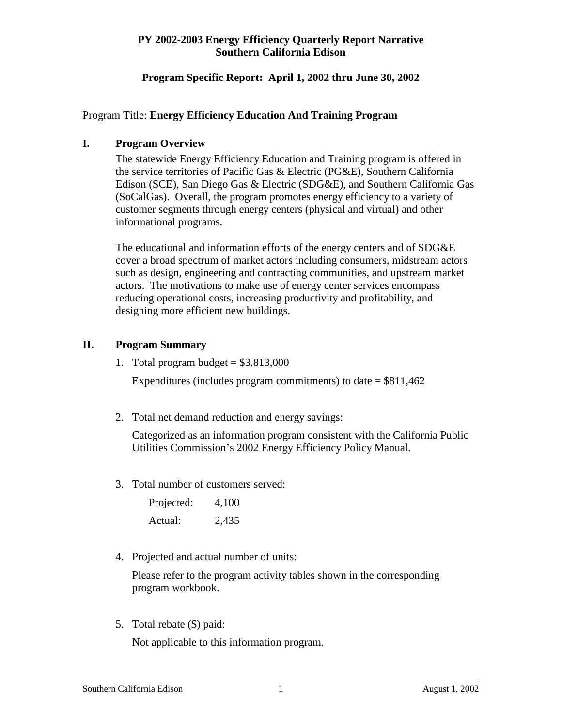#### **Program Specific Report: April 1, 2002 thru June 30, 2002**

#### Program Title: **Energy Efficiency Education And Training Program**

#### **I. Program Overview**

 The statewide Energy Efficiency Education and Training program is offered in the service territories of Pacific Gas & Electric (PG&E), Southern California Edison (SCE), San Diego Gas & Electric (SDG&E), and Southern California Gas (SoCalGas). Overall, the program promotes energy efficiency to a variety of customer segments through energy centers (physical and virtual) and other informational programs.

 The educational and information efforts of the energy centers and of SDG&E cover a broad spectrum of market actors including consumers, midstream actors such as design, engineering and contracting communities, and upstream market actors. The motivations to make use of energy center services encompass reducing operational costs, increasing productivity and profitability, and designing more efficient new buildings.

# **II. Program Summary**

1. Total program budget  $= $3,813,000$ 

Expenditures (includes program commitments) to date  $= $811,462$ 

2. Total net demand reduction and energy savings:

Categorized as an information program consistent with the California Public Utilities Commission's 2002 Energy Efficiency Policy Manual.

3. Total number of customers served:

| Projected: | 4,100 |
|------------|-------|
| Actual:    | 2,435 |

4. Projected and actual number of units:

Please refer to the program activity tables shown in the corresponding program workbook.

5. Total rebate (\$) paid:

Not applicable to this information program.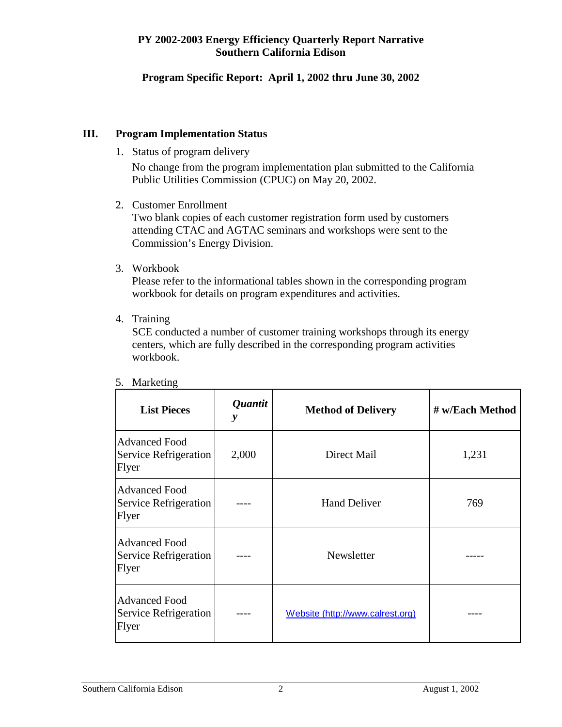# **Program Specific Report: April 1, 2002 thru June 30, 2002**

#### **III. Program Implementation Status**

1. Status of program delivery

No change from the program implementation plan submitted to the California Public Utilities Commission (CPUC) on May 20, 2002.

2. Customer Enrollment

Two blank copies of each customer registration form used by customers attending CTAC and AGTAC seminars and workshops were sent to the Commission's Energy Division.

3. Workbook

Please refer to the informational tables shown in the corresponding program workbook for details on program expenditures and activities.

4. Training

SCE conducted a number of customer training workshops through its energy centers, which are fully described in the corresponding program activities workbook.

| <b>List Pieces</b>                                     | <i><b>Quantit</b></i><br>y | <b>Method of Delivery</b>        | # w/Each Method |  |
|--------------------------------------------------------|----------------------------|----------------------------------|-----------------|--|
| <b>Advanced Food</b><br>Service Refrigeration<br>Flyer | 2,000                      | Direct Mail                      | 1,231           |  |
| <b>Advanced Food</b><br>Service Refrigeration<br>Flyer |                            | <b>Hand Deliver</b>              | 769             |  |
| <b>Advanced Food</b><br>Service Refrigeration<br>Flyer |                            | Newsletter                       |                 |  |
| <b>Advanced Food</b><br>Service Refrigeration<br>Flyer |                            | Website (http://www.calrest.org) |                 |  |

5. Marketing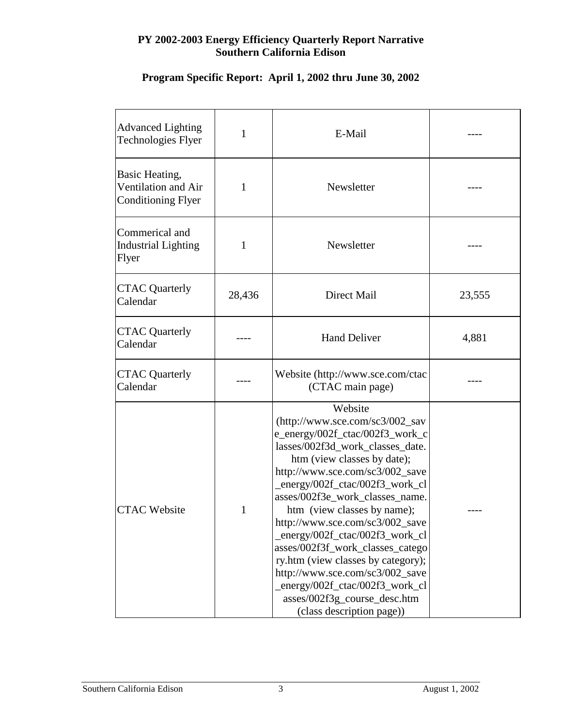# **Program Specific Report: April 1, 2002 thru June 30, 2002**

| <b>Advanced Lighting</b><br><b>Technologies Flyer</b>                     | 1      | E-Mail                                                                                                                                                                                                                                                                                                                                                                                                                                                                                                                                                                     |        |
|---------------------------------------------------------------------------|--------|----------------------------------------------------------------------------------------------------------------------------------------------------------------------------------------------------------------------------------------------------------------------------------------------------------------------------------------------------------------------------------------------------------------------------------------------------------------------------------------------------------------------------------------------------------------------------|--------|
| <b>Basic Heating,</b><br>Ventilation and Air<br><b>Conditioning Flyer</b> | 1      | Newsletter                                                                                                                                                                                                                                                                                                                                                                                                                                                                                                                                                                 |        |
| Commerical and<br><b>Industrial Lighting</b><br>Flyer                     | 1      | Newsletter                                                                                                                                                                                                                                                                                                                                                                                                                                                                                                                                                                 |        |
| <b>CTAC Quarterly</b><br>Calendar                                         | 28,436 | Direct Mail                                                                                                                                                                                                                                                                                                                                                                                                                                                                                                                                                                | 23,555 |
| <b>CTAC Quarterly</b><br>Calendar                                         |        | <b>Hand Deliver</b>                                                                                                                                                                                                                                                                                                                                                                                                                                                                                                                                                        | 4,881  |
| <b>CTAC Quarterly</b><br>Calendar                                         |        | Website (http://www.sce.com/ctac<br>(CTAC main page)                                                                                                                                                                                                                                                                                                                                                                                                                                                                                                                       |        |
| <b>CTAC Website</b>                                                       | 1      | Website<br>(http://www.sce.com/sc3/002_sav<br>e_energy/002f_ctac/002f3_work_c<br>lasses/002f3d_work_classes_date.<br>htm (view classes by date);<br>http://www.sce.com/sc3/002_save<br>_energy/002f_ctac/002f3_work_cl<br>asses/002f3e_work_classes_name.<br>htm (view classes by name);<br>http://www.sce.com/sc3/002_save<br>_energy/002f_ctac/002f3_work_cl<br>asses/002f3f_work_classes_catego<br>ry.htm (view classes by category);<br>http://www.sce.com/sc3/002_save<br>energy/002f_ctac/002f3_work_cl<br>asses/002f3g_course_desc.htm<br>(class description page)) |        |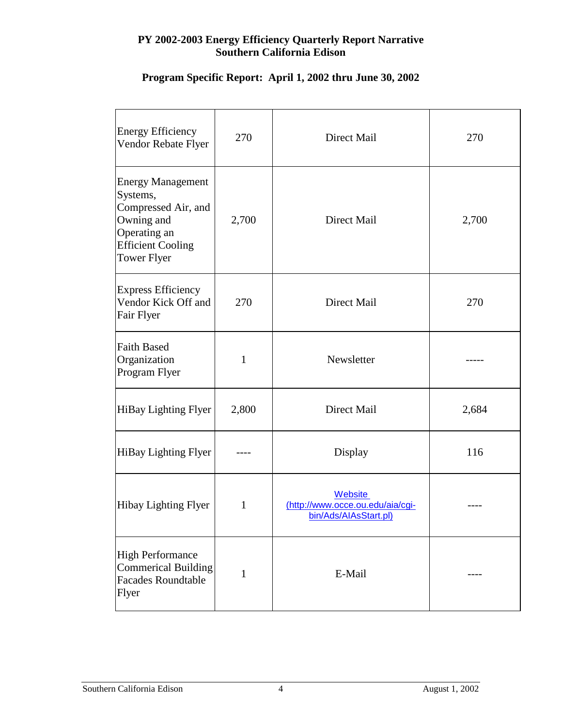| <b>Energy Efficiency</b><br>Vendor Rebate Flyer                                                                                             | 270          | Direct Mail                                                          | 270   |
|---------------------------------------------------------------------------------------------------------------------------------------------|--------------|----------------------------------------------------------------------|-------|
| <b>Energy Management</b><br>Systems,<br>Compressed Air, and<br>Owning and<br>Operating an<br><b>Efficient Cooling</b><br><b>Tower Flyer</b> | 2,700        | Direct Mail                                                          | 2,700 |
| <b>Express Efficiency</b><br>Vendor Kick Off and<br>Fair Flyer                                                                              | 270          | Direct Mail                                                          | 270   |
| <b>Faith Based</b><br>Organization<br>Program Flyer                                                                                         | $\mathbf{1}$ | Newsletter                                                           |       |
| HiBay Lighting Flyer                                                                                                                        | 2,800        | Direct Mail                                                          | 2,684 |
| HiBay Lighting Flyer                                                                                                                        |              | Display                                                              | 116   |
| Hibay Lighting Flyer                                                                                                                        | $\mathbf{1}$ | Website<br>(http://www.occe.ou.edu/aia/cgi-<br>bin/Ads/AIAsStart.pl) |       |
| <b>High Performance</b><br><b>Commerical Building</b><br><b>Facades Roundtable</b><br>Flyer                                                 | $\mathbf{1}$ | E-Mail                                                               |       |

# **Program Specific Report: April 1, 2002 thru June 30, 2002**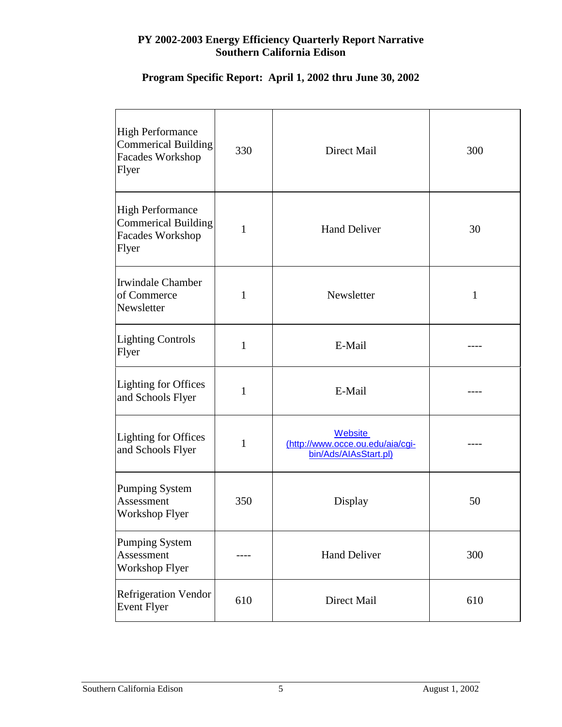# **Program Specific Report: April 1, 2002 thru June 30, 2002**

| <b>High Performance</b><br><b>Commerical Building</b><br>Facades Workshop<br>Flyer        | 330          | Direct Mail                                                                 | 300          |
|-------------------------------------------------------------------------------------------|--------------|-----------------------------------------------------------------------------|--------------|
| <b>High Performance</b><br><b>Commerical Building</b><br><b>Facades Workshop</b><br>Flyer | $\mathbf{1}$ | <b>Hand Deliver</b>                                                         | 30           |
| Irwindale Chamber<br>of Commerce<br>Newsletter                                            | $\mathbf{1}$ | Newsletter                                                                  | $\mathbf{1}$ |
| Lighting Controls<br>Flyer                                                                | $\mathbf{1}$ | E-Mail                                                                      |              |
| Lighting for Offices<br>and Schools Flyer                                                 | $\mathbf{1}$ | E-Mail                                                                      |              |
| Lighting for Offices<br>and Schools Flyer                                                 | $\mathbf{1}$ | <b>Website</b><br>(http://www.occe.ou.edu/aia/cgi-<br>bin/Ads/AIAsStart.pl) |              |
| Pumping System<br>Assessment<br><b>Workshop Flyer</b>                                     | 350          | Display                                                                     | 50           |
| Pumping System<br>Assessment<br>Workshop Flyer                                            |              | <b>Hand Deliver</b>                                                         | 300          |
| <b>Refrigeration Vendor</b><br><b>Event Flyer</b>                                         | 610          | Direct Mail                                                                 | 610          |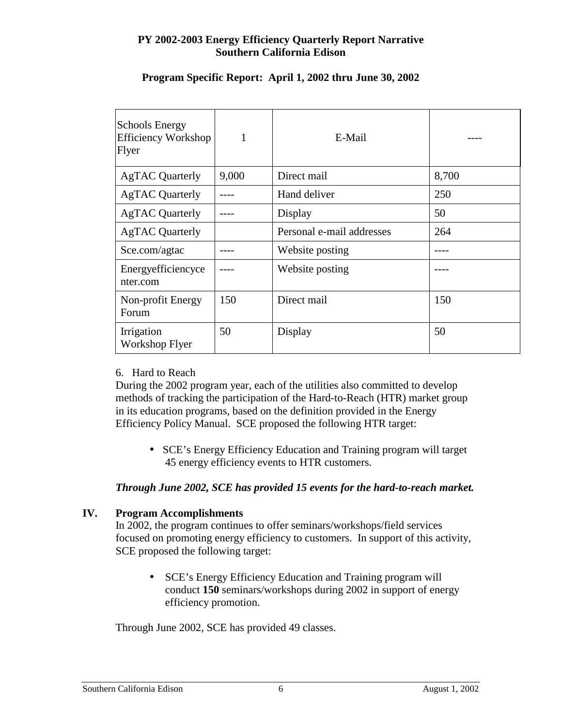| <b>Schools Energy</b><br><b>Efficiency Workshop</b><br>Flyer | $\mathbf{1}$ | E-Mail                    |       |
|--------------------------------------------------------------|--------------|---------------------------|-------|
| <b>AgTAC Quarterly</b>                                       | 9,000        | Direct mail               | 8,700 |
| <b>AgTAC Quarterly</b>                                       |              | Hand deliver              | 250   |
| <b>AgTAC Quarterly</b>                                       |              | Display                   | 50    |
| <b>AgTAC Quarterly</b>                                       |              | Personal e-mail addresses | 264   |
| Sce.com/agtac                                                |              | Website posting           |       |
| Energy efficiency ce<br>nter.com                             |              | Website posting           |       |
| Non-profit Energy<br>Forum                                   | 150          | Direct mail               | 150   |
| Irrigation<br>Workshop Flyer                                 | 50           | Display                   | 50    |

# **Program Specific Report: April 1, 2002 thru June 30, 2002**

#### 6. Hard to Reach

During the 2002 program year, each of the utilities also committed to develop methods of tracking the participation of the Hard-to-Reach (HTR) market group in its education programs, based on the definition provided in the Energy Efficiency Policy Manual. SCE proposed the following HTR target:

• SCE's Energy Efficiency Education and Training program will target 45 energy efficiency events to HTR customers.

#### *Through June 2002, SCE has provided 15 events for the hard-to-reach market.*

#### **IV. Program Accomplishments**

In 2002, the program continues to offer seminars/workshops/field services focused on promoting energy efficiency to customers. In support of this activity, SCE proposed the following target:

• SCE's Energy Efficiency Education and Training program will conduct **150** seminars/workshops during 2002 in support of energy efficiency promotion.

Through June 2002, SCE has provided 49 classes.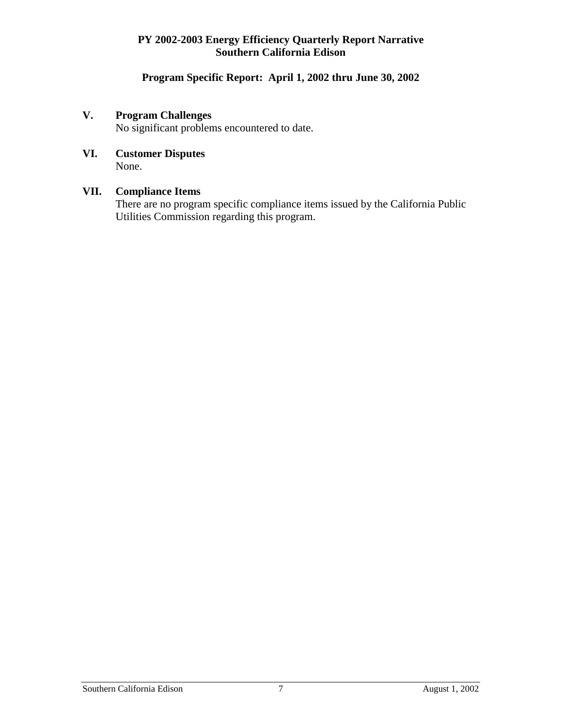# **Program Specific Report: April 1, 2002 thru June 30, 2002**

# **V. Program Challenges**

No significant problems encountered to date.

# **VI. Customer Disputes**

None.

# **VII. Compliance Items**

There are no program specific compliance items issued by the California Public Utilities Commission regarding this program.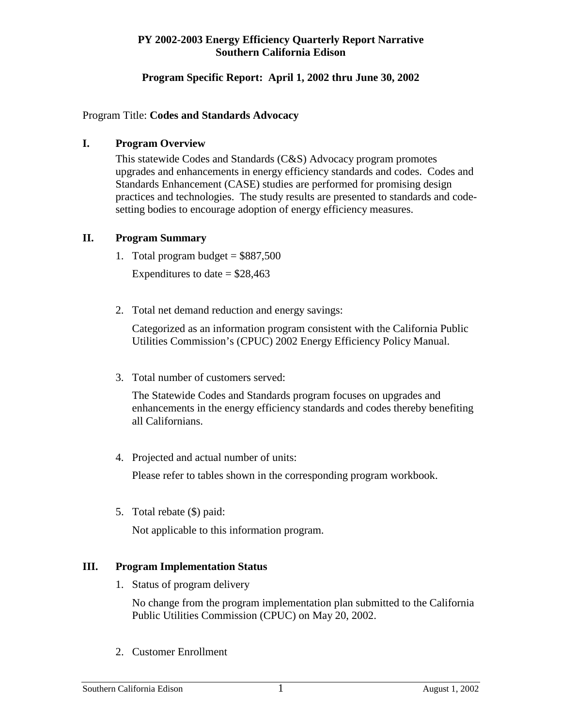#### **Program Specific Report: April 1, 2002 thru June 30, 2002**

#### Program Title: **Codes and Standards Advocacy**

#### **I. Program Overview**

This statewide Codes and Standards (C&S) Advocacy program promotes upgrades and enhancements in energy efficiency standards and codes. Codes and Standards Enhancement (CASE) studies are performed for promising design practices and technologies. The study results are presented to standards and codesetting bodies to encourage adoption of energy efficiency measures.

# **II. Program Summary**

- 1. Total program budget  $= $887,500$ Expenditures to date  $=$  \$28,463
- 2. Total net demand reduction and energy savings:

Categorized as an information program consistent with the California Public Utilities Commission's (CPUC) 2002 Energy Efficiency Policy Manual.

3. Total number of customers served:

The Statewide Codes and Standards program focuses on upgrades and enhancements in the energy efficiency standards and codes thereby benefiting all Californians.

4. Projected and actual number of units:

Please refer to tables shown in the corresponding program workbook.

5. Total rebate (\$) paid:

Not applicable to this information program.

# **III. Program Implementation Status**

1. Status of program delivery

No change from the program implementation plan submitted to the California Public Utilities Commission (CPUC) on May 20, 2002.

2. Customer Enrollment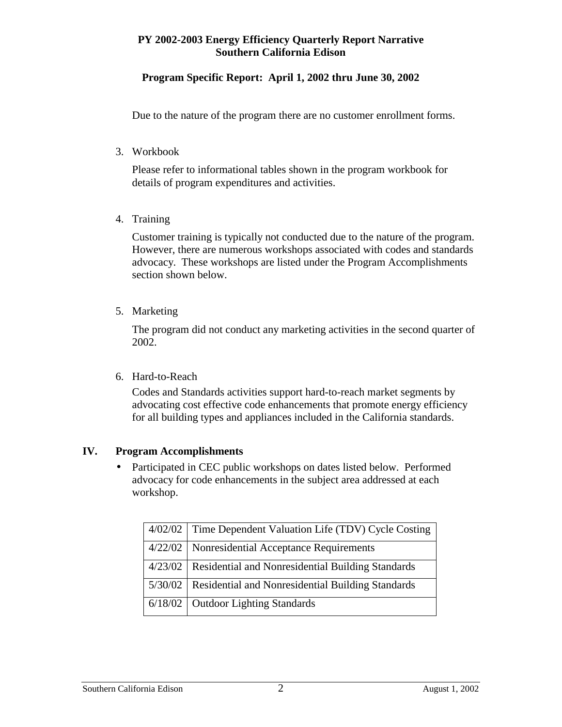# **Program Specific Report: April 1, 2002 thru June 30, 2002**

Due to the nature of the program there are no customer enrollment forms.

3. Workbook

Please refer to informational tables shown in the program workbook for details of program expenditures and activities.

4. Training

Customer training is typically not conducted due to the nature of the program. However, there are numerous workshops associated with codes and standards advocacy. These workshops are listed under the Program Accomplishments section shown below.

5. Marketing

The program did not conduct any marketing activities in the second quarter of 2002.

6. Hard-to-Reach

Codes and Standards activities support hard-to-reach market segments by advocating cost effective code enhancements that promote energy efficiency for all building types and appliances included in the California standards.

#### **IV. Program Accomplishments**

• Participated in CEC public workshops on dates listed below. Performed advocacy for code enhancements in the subject area addressed at each workshop.

| 4/02/02 | Time Dependent Valuation Life (TDV) Cycle Costing           |
|---------|-------------------------------------------------------------|
|         | 4/22/02   Nonresidential Acceptance Requirements            |
|         | 4/23/02   Residential and Nonresidential Building Standards |
|         | 5/30/02   Residential and Nonresidential Building Standards |
|         | 6/18/02   Outdoor Lighting Standards                        |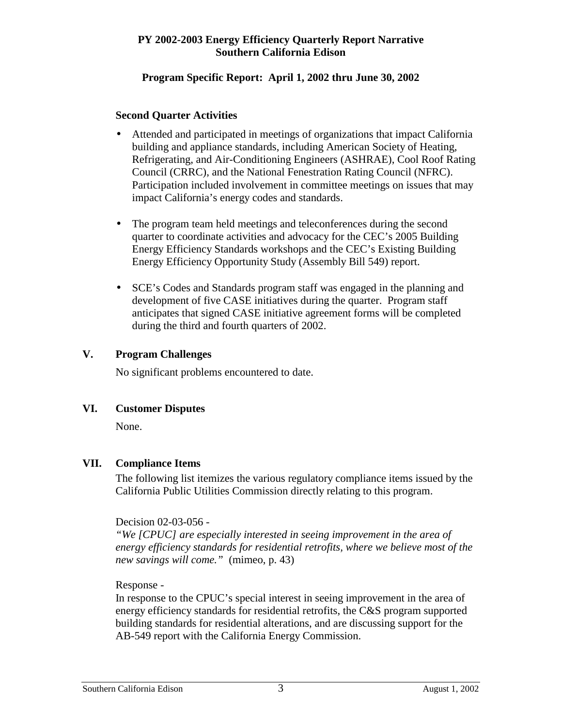#### **Program Specific Report: April 1, 2002 thru June 30, 2002**

#### **Second Quarter Activities**

- Attended and participated in meetings of organizations that impact California building and appliance standards, including American Society of Heating, Refrigerating, and Air-Conditioning Engineers (ASHRAE), Cool Roof Rating Council (CRRC), and the National Fenestration Rating Council (NFRC). Participation included involvement in committee meetings on issues that may impact California's energy codes and standards.
- The program team held meetings and teleconferences during the second quarter to coordinate activities and advocacy for the CEC's 2005 Building Energy Efficiency Standards workshops and the CEC's Existing Building Energy Efficiency Opportunity Study (Assembly Bill 549) report.
- SCE's Codes and Standards program staff was engaged in the planning and development of five CASE initiatives during the quarter. Program staff anticipates that signed CASE initiative agreement forms will be completed during the third and fourth quarters of 2002.

# **V. Program Challenges**

No significant problems encountered to date.

# **VI. Customer Disputes**

None.

# **VII. Compliance Items**

The following list itemizes the various regulatory compliance items issued by the California Public Utilities Commission directly relating to this program.

# Decision 02-03-056 -

*"We [CPUC] are especially interested in seeing improvement in the area of energy efficiency standards for residential retrofits, where we believe most of the new savings will come."* (mimeo, p. 43)

Response -

In response to the CPUC's special interest in seeing improvement in the area of energy efficiency standards for residential retrofits, the C&S program supported building standards for residential alterations, and are discussing support for the AB-549 report with the California Energy Commission.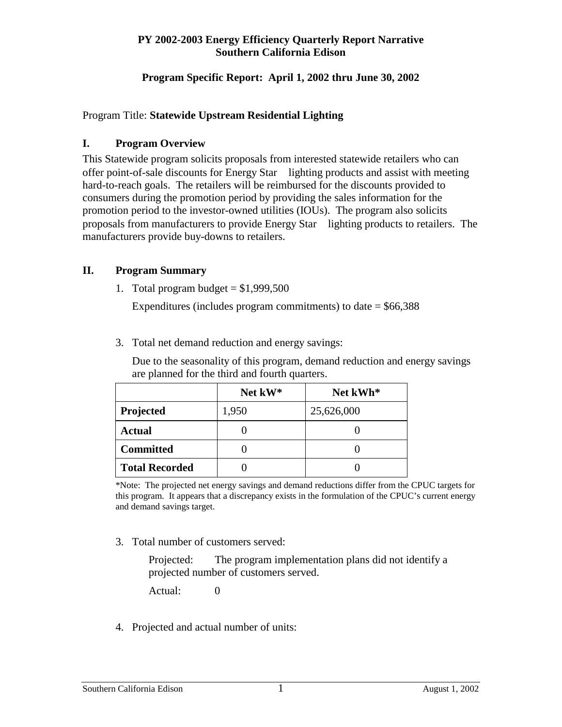# **Program Specific Report: April 1, 2002 thru June 30, 2002**

#### Program Title: **Statewide Upstream Residential Lighting**

#### **I. Program Overview**

This Statewide program solicits proposals from interested statewide retailers who can offer point-of-sale discounts for Energy Star $\Theta$  lighting products and assist with meeting hard-to-reach goals. The retailers will be reimbursed for the discounts provided to consumers during the promotion period by providing the sales information for the promotion period to the investor-owned utilities (IOUs). The program also solicits proposals from manufacturers to provide Energy Star<sup>®</sup> lighting products to retailers. The manufacturers provide buy-downs to retailers.

# **II. Program Summary**

1. Total program budget  $= $1,999,500$ 

Expenditures (includes program commitments) to date  $=$  \$66,388

3. Total net demand reduction and energy savings:

Due to the seasonality of this program, demand reduction and energy savings are planned for the third and fourth quarters.

|                       | Net kW* | Net kWh*   |
|-----------------------|---------|------------|
| Projected             | 1,950   | 25,626,000 |
| <b>Actual</b>         |         |            |
| <b>Committed</b>      |         |            |
| <b>Total Recorded</b> |         |            |

<sup>\*</sup>Note: The projected net energy savings and demand reductions differ from the CPUC targets for this program. It appears that a discrepancy exists in the formulation of the CPUC's current energy and demand savings target.

3. Total number of customers served:

Projected: The program implementation plans did not identify a projected number of customers served.

Actual: 0

4. Projected and actual number of units: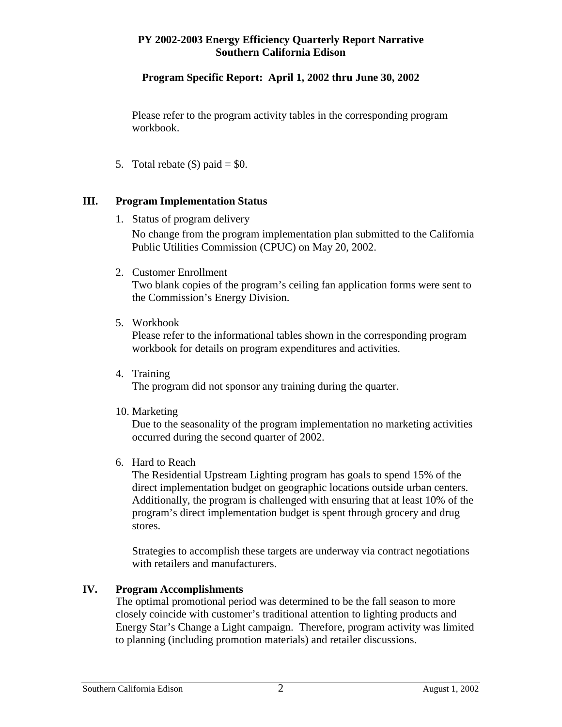# **Program Specific Report: April 1, 2002 thru June 30, 2002**

Please refer to the program activity tables in the corresponding program workbook.

5. Total rebate  $(\$)$  paid = \$0.

# **III. Program Implementation Status**

1. Status of program delivery

No change from the program implementation plan submitted to the California Public Utilities Commission (CPUC) on May 20, 2002.

2. Customer Enrollment

Two blank copies of the program's ceiling fan application forms were sent to the Commission's Energy Division.

5. Workbook

Please refer to the informational tables shown in the corresponding program workbook for details on program expenditures and activities.

4. Training

The program did not sponsor any training during the quarter.

10. Marketing

Due to the seasonality of the program implementation no marketing activities occurred during the second quarter of 2002.

6. Hard to Reach

The Residential Upstream Lighting program has goals to spend 15% of the direct implementation budget on geographic locations outside urban centers. Additionally, the program is challenged with ensuring that at least 10% of the program's direct implementation budget is spent through grocery and drug stores.

Strategies to accomplish these targets are underway via contract negotiations with retailers and manufacturers.

# **IV. Program Accomplishments**

The optimal promotional period was determined to be the fall season to more closely coincide with customer's traditional attention to lighting products and Energy Star's Change a Light campaign. Therefore, program activity was limited to planning (including promotion materials) and retailer discussions.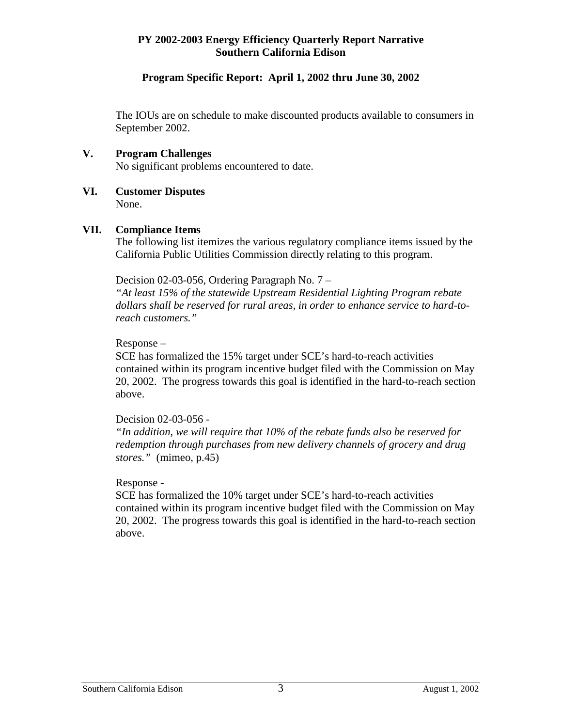#### **Program Specific Report: April 1, 2002 thru June 30, 2002**

The IOUs are on schedule to make discounted products available to consumers in September 2002.

#### **V. Program Challenges**

No significant problems encountered to date.

#### **VI. Customer Disputes**  None.

#### **VII. Compliance Items**

The following list itemizes the various regulatory compliance items issued by the California Public Utilities Commission directly relating to this program.

Decision 02-03-056, Ordering Paragraph No. 7 –

*"At least 15% of the statewide Upstream Residential Lighting Program rebate dollars shall be reserved for rural areas, in order to enhance service to hard-toreach customers."* 

Response –

SCE has formalized the 15% target under SCE's hard-to-reach activities contained within its program incentive budget filed with the Commission on May 20, 2002. The progress towards this goal is identified in the hard-to-reach section above.

#### Decision 02-03-056 -

*"In addition, we will require that 10% of the rebate funds also be reserved for redemption through purchases from new delivery channels of grocery and drug stores."* (mimeo, p.45)

#### Response -

SCE has formalized the 10% target under SCE's hard-to-reach activities contained within its program incentive budget filed with the Commission on May 20, 2002. The progress towards this goal is identified in the hard-to-reach section above.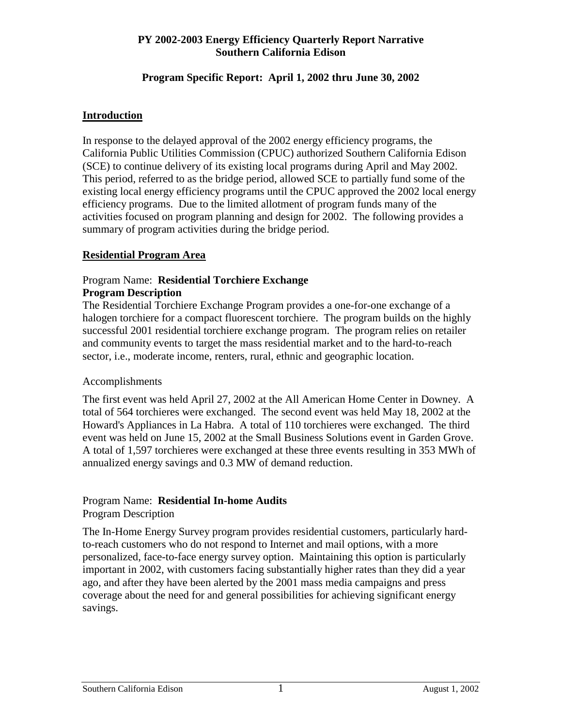#### **Program Specific Report: April 1, 2002 thru June 30, 2002**

# **Introduction**

In response to the delayed approval of the 2002 energy efficiency programs, the California Public Utilities Commission (CPUC) authorized Southern California Edison (SCE) to continue delivery of its existing local programs during April and May 2002. This period, referred to as the bridge period, allowed SCE to partially fund some of the existing local energy efficiency programs until the CPUC approved the 2002 local energy efficiency programs. Due to the limited allotment of program funds many of the activities focused on program planning and design for 2002. The following provides a summary of program activities during the bridge period.

# **Residential Program Area**

#### Program Name: **Residential Torchiere Exchange Program Description**

The Residential Torchiere Exchange Program provides a one-for-one exchange of a halogen torchiere for a compact fluorescent torchiere. The program builds on the highly successful 2001 residential torchiere exchange program. The program relies on retailer and community events to target the mass residential market and to the hard-to-reach sector, i.e., moderate income, renters, rural, ethnic and geographic location.

#### Accomplishments

The first event was held April 27, 2002 at the All American Home Center in Downey. A total of 564 torchieres were exchanged. The second event was held May 18, 2002 at the Howard's Appliances in La Habra. A total of 110 torchieres were exchanged. The third event was held on June 15, 2002 at the Small Business Solutions event in Garden Grove. A total of 1,597 torchieres were exchanged at these three events resulting in 353 MWh of annualized energy savings and 0.3 MW of demand reduction.

#### Program Name: **Residential In-home Audits** Program Description

The In-Home Energy Survey program provides residential customers, particularly hardto-reach customers who do not respond to Internet and mail options, with a more personalized, face-to-face energy survey option. Maintaining this option is particularly important in 2002, with customers facing substantially higher rates than they did a year ago, and after they have been alerted by the 2001 mass media campaigns and press coverage about the need for and general possibilities for achieving significant energy savings.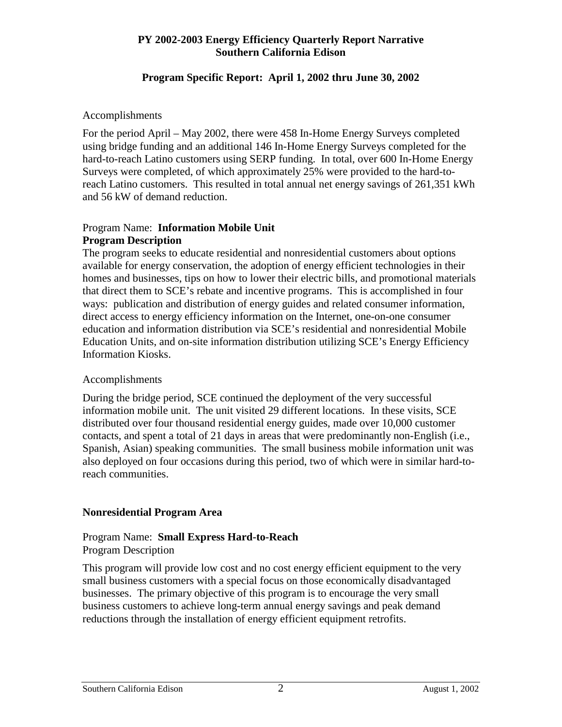#### **Program Specific Report: April 1, 2002 thru June 30, 2002**

#### Accomplishments

For the period April – May 2002, there were 458 In-Home Energy Surveys completed using bridge funding and an additional 146 In-Home Energy Surveys completed for the hard-to-reach Latino customers using SERP funding. In total, over 600 In-Home Energy Surveys were completed, of which approximately 25% were provided to the hard-toreach Latino customers. This resulted in total annual net energy savings of 261,351 kWh and 56 kW of demand reduction.

#### Program Name: **Information Mobile Unit Program Description**

The program seeks to educate residential and nonresidential customers about options available for energy conservation, the adoption of energy efficient technologies in their homes and businesses, tips on how to lower their electric bills, and promotional materials that direct them to SCE's rebate and incentive programs. This is accomplished in four ways: publication and distribution of energy guides and related consumer information, direct access to energy efficiency information on the Internet, one-on-one consumer education and information distribution via SCE's residential and nonresidential Mobile Education Units, and on-site information distribution utilizing SCE's Energy Efficiency Information Kiosks.

#### Accomplishments

During the bridge period, SCE continued the deployment of the very successful information mobile unit. The unit visited 29 different locations. In these visits, SCE distributed over four thousand residential energy guides, made over 10,000 customer contacts, and spent a total of 21 days in areas that were predominantly non-English (i.e., Spanish, Asian) speaking communities. The small business mobile information unit was also deployed on four occasions during this period, two of which were in similar hard-toreach communities.

#### **Nonresidential Program Area**

#### Program Name: **Small Express Hard-to-Reach**  Program Description

This program will provide low cost and no cost energy efficient equipment to the very small business customers with a special focus on those economically disadvantaged businesses. The primary objective of this program is to encourage the very small business customers to achieve long-term annual energy savings and peak demand reductions through the installation of energy efficient equipment retrofits.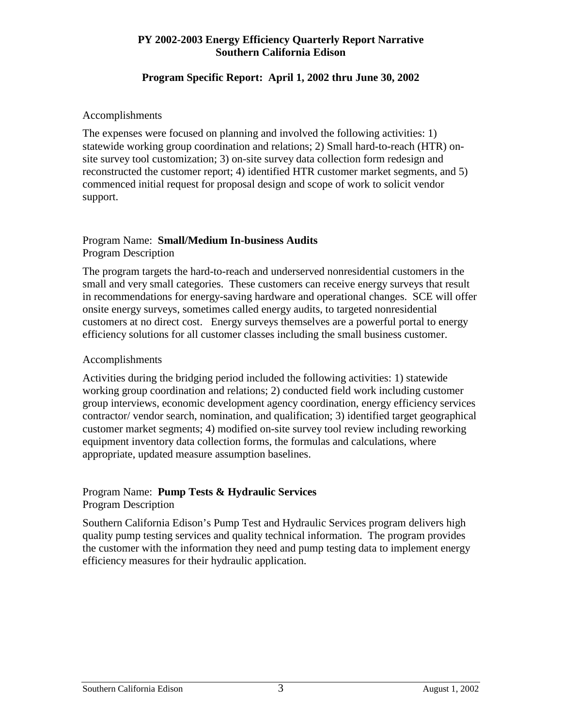#### **Program Specific Report: April 1, 2002 thru June 30, 2002**

#### Accomplishments

The expenses were focused on planning and involved the following activities: 1) statewide working group coordination and relations; 2) Small hard-to-reach (HTR) onsite survey tool customization; 3) on-site survey data collection form redesign and reconstructed the customer report; 4) identified HTR customer market segments, and 5) commenced initial request for proposal design and scope of work to solicit vendor support.

#### Program Name: **Small/Medium In-business Audits** Program Description

The program targets the hard-to-reach and underserved nonresidential customers in the small and very small categories. These customers can receive energy surveys that result in recommendations for energy-saving hardware and operational changes. SCE will offer onsite energy surveys, sometimes called energy audits, to targeted nonresidential customers at no direct cost. Energy surveys themselves are a powerful portal to energy efficiency solutions for all customer classes including the small business customer.

#### Accomplishments

Activities during the bridging period included the following activities: 1) statewide working group coordination and relations; 2) conducted field work including customer group interviews, economic development agency coordination, energy efficiency services contractor/ vendor search, nomination, and qualification; 3) identified target geographical customer market segments; 4) modified on-site survey tool review including reworking equipment inventory data collection forms, the formulas and calculations, where appropriate, updated measure assumption baselines.

#### Program Name: **Pump Tests & Hydraulic Services** Program Description

Southern California Edison's Pump Test and Hydraulic Services program delivers high quality pump testing services and quality technical information. The program provides the customer with the information they need and pump testing data to implement energy efficiency measures for their hydraulic application.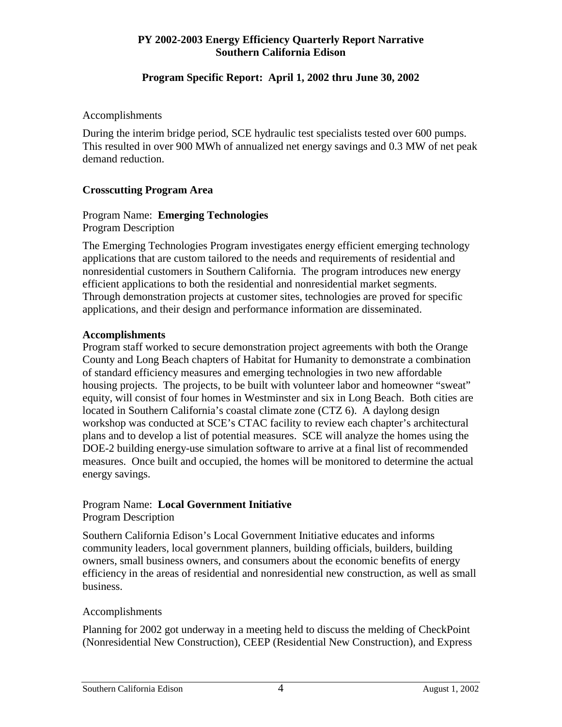#### **Program Specific Report: April 1, 2002 thru June 30, 2002**

#### Accomplishments

During the interim bridge period, SCE hydraulic test specialists tested over 600 pumps. This resulted in over 900 MWh of annualized net energy savings and 0.3 MW of net peak demand reduction.

#### **Crosscutting Program Area**

#### Program Name: **Emerging Technologies** Program Description

The Emerging Technologies Program investigates energy efficient emerging technology applications that are custom tailored to the needs and requirements of residential and nonresidential customers in Southern California. The program introduces new energy efficient applications to both the residential and nonresidential market segments. Through demonstration projects at customer sites, technologies are proved for specific applications, and their design and performance information are disseminated.

#### **Accomplishments**

Program staff worked to secure demonstration project agreements with both the Orange County and Long Beach chapters of Habitat for Humanity to demonstrate a combination of standard efficiency measures and emerging technologies in two new affordable housing projects. The projects, to be built with volunteer labor and homeowner "sweat" equity, will consist of four homes in Westminster and six in Long Beach. Both cities are located in Southern California's coastal climate zone (CTZ 6). A daylong design workshop was conducted at SCE's CTAC facility to review each chapter's architectural plans and to develop a list of potential measures. SCE will analyze the homes using the DOE-2 building energy-use simulation software to arrive at a final list of recommended measures. Once built and occupied, the homes will be monitored to determine the actual energy savings.

#### Program Name: **Local Government Initiative** Program Description

Southern California Edison's Local Government Initiative educates and informs community leaders, local government planners, building officials, builders, building owners, small business owners, and consumers about the economic benefits of energy efficiency in the areas of residential and nonresidential new construction, as well as small business.

#### Accomplishments

Planning for 2002 got underway in a meeting held to discuss the melding of CheckPoint (Nonresidential New Construction), CEEP (Residential New Construction), and Express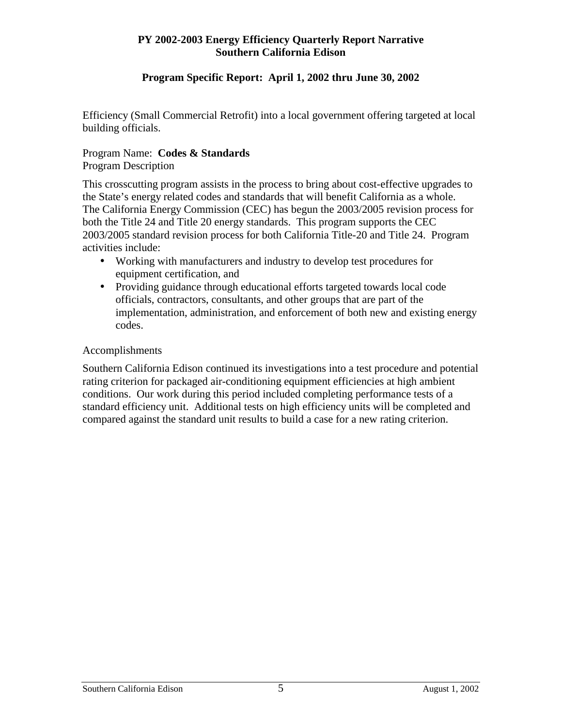#### **Program Specific Report: April 1, 2002 thru June 30, 2002**

Efficiency (Small Commercial Retrofit) into a local government offering targeted at local building officials.

#### Program Name: **Codes & Standards** Program Description

This crosscutting program assists in the process to bring about cost-effective upgrades to the State's energy related codes and standards that will benefit California as a whole. The California Energy Commission (CEC) has begun the 2003/2005 revision process for both the Title 24 and Title 20 energy standards. This program supports the CEC 2003/2005 standard revision process for both California Title-20 and Title 24. Program activities include:

- Working with manufacturers and industry to develop test procedures for equipment certification, and
- Providing guidance through educational efforts targeted towards local code officials, contractors, consultants, and other groups that are part of the implementation, administration, and enforcement of both new and existing energy codes.

#### Accomplishments

Southern California Edison continued its investigations into a test procedure and potential rating criterion for packaged air-conditioning equipment efficiencies at high ambient conditions. Our work during this period included completing performance tests of a standard efficiency unit. Additional tests on high efficiency units will be completed and compared against the standard unit results to build a case for a new rating criterion.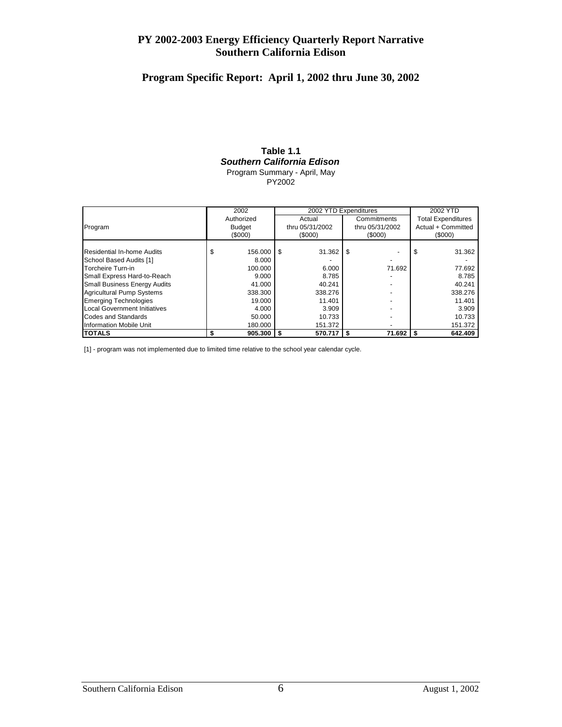# **Program Specific Report: April 1, 2002 thru June 30, 2002**

#### **Table 1.1** *Southern California Edison* Program Summary - April, May

PY2002

|                                     |            | 2002          | 2002 YTD Expenditures |                 |             | 2002 YTD        |                           |                    |  |
|-------------------------------------|------------|---------------|-----------------------|-----------------|-------------|-----------------|---------------------------|--------------------|--|
|                                     | Authorized |               | Actual                |                 | Commitments |                 | <b>Total Expenditures</b> |                    |  |
| Program                             |            | <b>Budget</b> |                       | thru 05/31/2002 |             | thru 05/31/2002 |                           | Actual + Committed |  |
|                                     |            | (\$000)       |                       | $($ \$000)      |             | (\$000)         |                           | (\$000)            |  |
|                                     |            |               |                       |                 |             |                 |                           |                    |  |
| Residential In-home Audits          | S          | 156.000       | \$.                   | 31.362          | S           |                 | \$                        | 31.362             |  |
| School Based Audits [1]             |            | 8.000         |                       |                 |             |                 |                           |                    |  |
| Torcheire Turn-in                   |            | 100.000       |                       | 6.000           |             | 71.692          |                           | 77.692             |  |
| Small Express Hard-to-Reach         |            | 9.000         |                       | 8.785           |             |                 |                           | 8.785              |  |
| <b>Small Business Energy Audits</b> |            | 41.000        |                       | 40.241          |             |                 |                           | 40.241             |  |
| Agricultural Pump Systems           |            | 338.300       |                       | 338.276         |             |                 |                           | 338.276            |  |
| <b>Emerging Technologies</b>        |            | 19.000        |                       | 11.401          |             |                 |                           | 11.401             |  |
| Local Government Initiatives        |            | 4.000         |                       | 3.909           |             |                 |                           | 3.909              |  |
| Codes and Standards                 |            | 50.000        |                       | 10.733          |             |                 |                           | 10.733             |  |
| Information Mobile Unit             |            | 180.000       |                       | 151.372         |             |                 |                           | 151.372            |  |
| <b>ITOTALS</b>                      |            | 905.300       | \$                    | 570.717         | S           | 71.692          | <b>S</b>                  | 642.409            |  |

[1] - program was not implemented due to limited time relative to the school year calendar cycle.